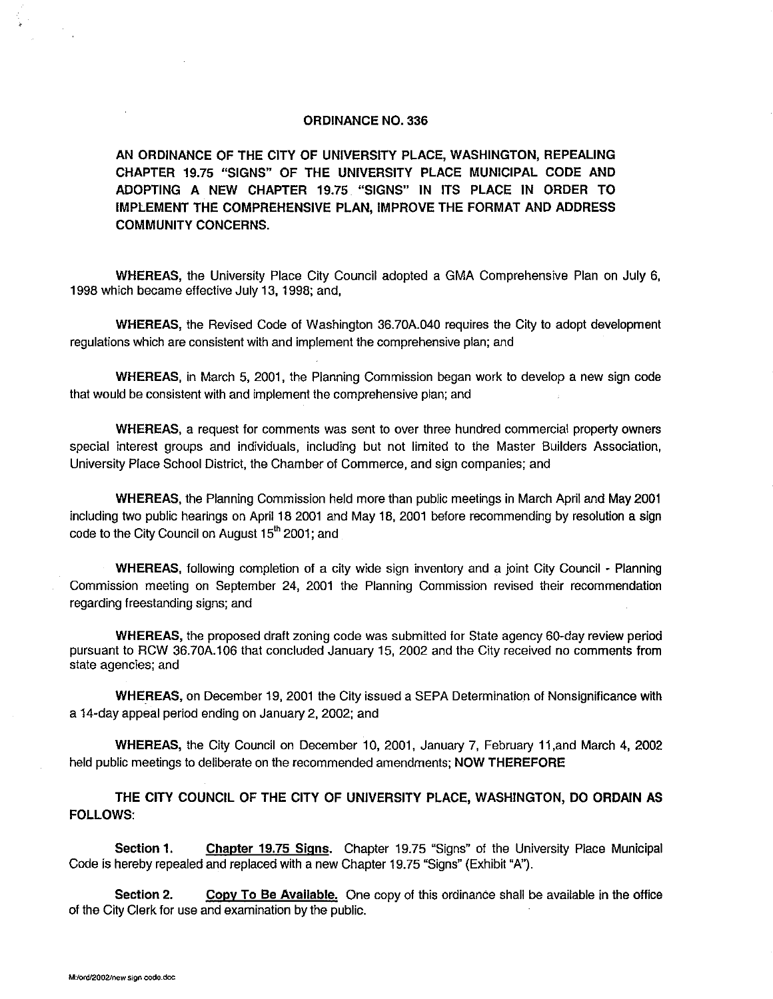#### ORDINANCE NO. 336

AN ORDINANCE OF THE CITY OF UNIVERSITY PLACE, WASHINGTON, REPEALING CHAPTER 19.75 "SIGNS" OF THE UNIVERSITY PLACE MUNICIPAL CODE AND ADOPTING A NEW CHAPTER 19.75 "SIGNS" IN ITS PLACE IN ORDER TO IMPLEMENT THE COMPREHENSIVE PLAN, IMPROVE THE FORMAT AND ADDRESS COMMUNITY CONCERNS.

WHEREAS, the University Place City Council adopted a GMA Comprehensive Plan on July 6, 1998 which became effective July 13, 1998; and,

WHEREAS, the Revised Code of Washington 36.70A.040 requires the City to adopt development regulations which are consistent with and implement the comprehensive plan; and

WHEREAS, in March 5, 2001, the Planning Commission began work to develop a new sign code that would be consistent with and implement the comprehensive plan; and

WHEREAS, a request for comments was sent to over three hundred commercial property owners special interest groups and individuals, including but not limited to the Master Builders Association, University Place School District, the Chamber of Commerce, and sign companies; and

WHEREAS, the Planning Commission held more than public meetings in March April and May 2001 including two public hearings on April 18 2001 and May 18, 2001 before recommending by resolution a sign code to the City Council on August 15<sup>th</sup> 2001; and

WHEREAS, following completion of a city wide sign inventory and a joint City Council - Planning Commission meeting on September 24, 2001 the Planning Commission revised their recommendation regarding freestanding signs; and

WHEREAS, the proposed draft zoning code was submitted for State agency 60-day review period pursuant to RCW 36.70A.106 that concluded January 15, 2002 and the City received no comments from state agencies; and

WHEREAS, on December 19, 2001 the City issued a SEPA Determination of Nonsignificance with a 14-day appeal period ending on January 2, 2002; and

WHEREAS, the City Council on December 10, 2001, January 7, February 11,and March 4, 2002 held public meetings to deliberate on the recommended amendments; NOW THEREFORE

THE CITY COUNCIL OF THE CITY OF UNIVERSITY PLACE, WASHINGTON, DO ORDAIN AS FOLLOWS:

Section 1. Chapter 19.75 Signs. Chapter 19.75 "Signs" of the University Place Municipal Code is hereby repealed and replaced with a new Chapter 19.75 "Signs" (Exhibit "A").

Section 2. Copy To Be Available. One copy of this ordinance shall be available in the office of the City Clerk for use and examination by the public.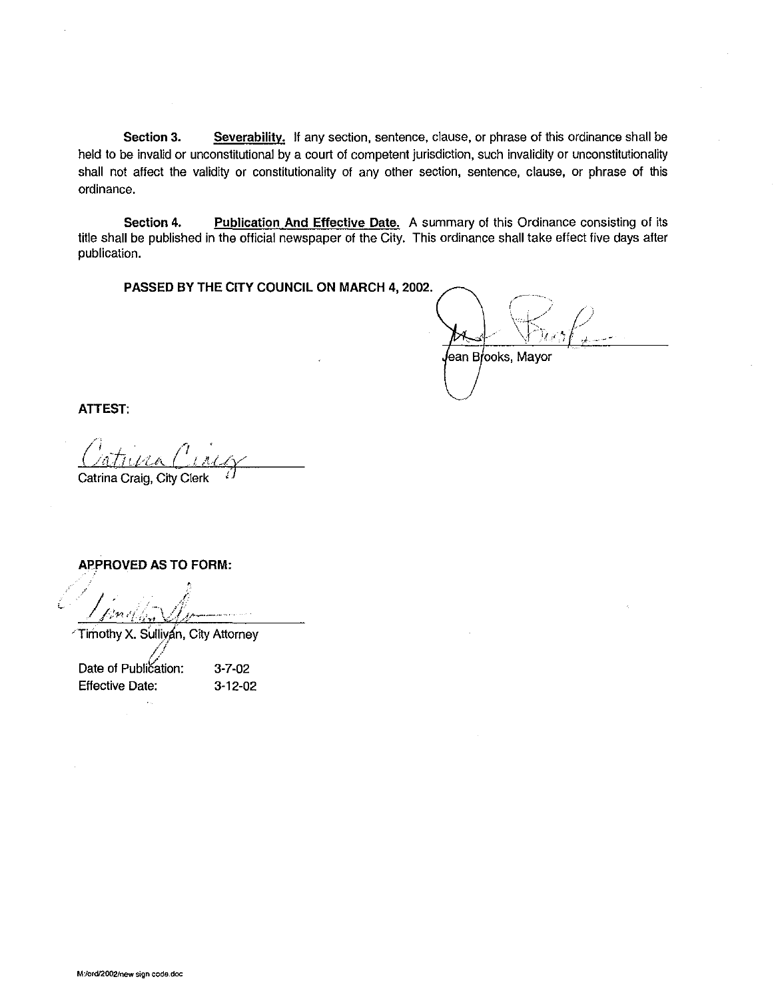**Section 3. Severability.** If any section, sentence, clause, or phrase of this ordinance shall be held to be invalid or unconstitutional by a court of competent jurisdiction, such invalidity or unconstitutionality shall not affect the validity or constitutionality of any other section, sentence, clause, or phrase of this ordinance.

**Section 4. Publication And Effective Date.** A summary of this Ordinance consisting of its title shall be published in the official newspaper of the City. This ordinance shall take effect five days after publication.

**PASSED BY THE CITY COUNCIL ON MARCH 4, 2002.** 

lean Brooks, Mayor

**ATTEST:** 

Catrina Craig, City Clerk

**APPROVED AS TO FORM:** 

*\_/* ; I ; , . /-. 1i **/ ",,'YI«** f ,\_, l / \_/ **.ir----··** --· *t* -~n .,\_, -

'Timothy X. Sullivan, City Attorney

//<br>Date of Publication: Effective Date:

3-7-02 3-12-02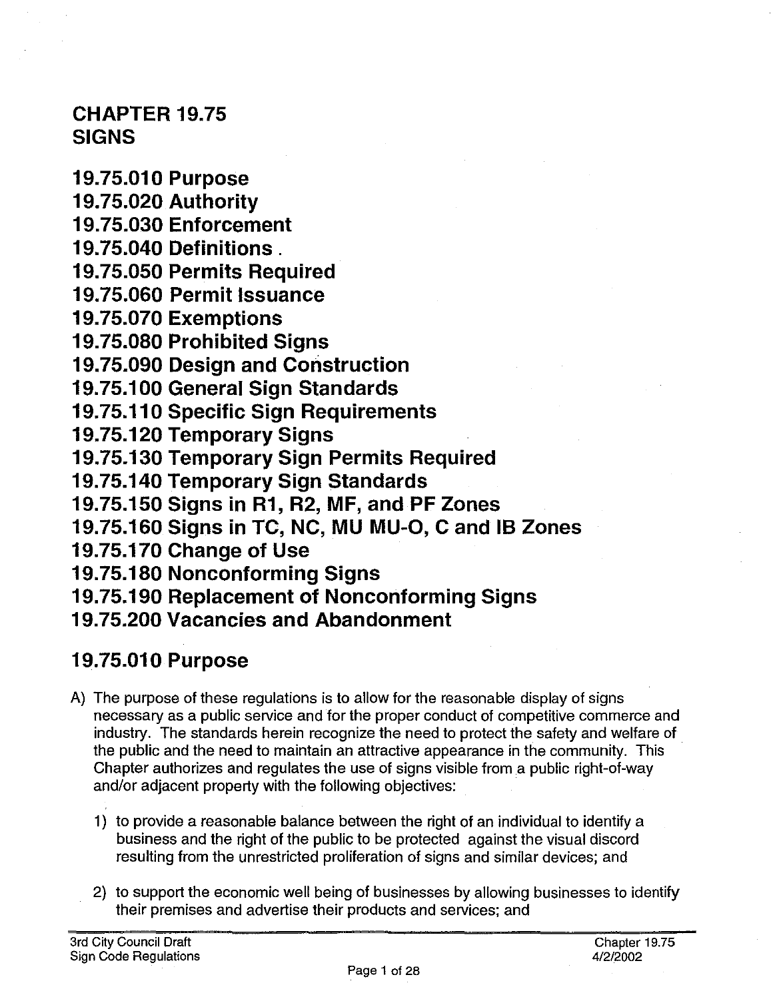#### **CHAPTER 19. 75 SIGNS**

**19. 75.01 O Purpose 19. 75.020 Authority 19. 75.030 Enforcement 19. 75.040 Definitions** . **19.75.050 Permits Required 19.75.060 Permit Issuance 19.75.070 Exemptions 19. 75.080 Prohibited Signs 19. 75.090 Design and Construction 19.75.100 General Sign Standards 19. 75.110 Specific Sign Requirements 19.75.120 Temporary Signs 19.75.130 Temporary Sign Permits Required 19.75.140 Temporary Sign Standards 19. 75.150 Signs in R1, R2, MF, and PF Zones 19.75.160 Signs in TC, NC, MU MU-0, C and 18 Zones 19.75.170 Change of Use 19. 75.180 Nonconforming Signs 19.75.190 Replacement of Nonconforming Signs 19.75.200 Vacancies and Abandonment** 

# **19.75.010 Purpose**

- A) The purpose of these regulations is to allow for the reasonable display of signs necessary as a public service and for the proper conduct of competitive commerce and industry. The standards herein recognize the need to protect the safety and welfare of the public and the need to maintain an attractive appearance in the community. This Chapter authorizes and regulates the use of signs visible from a public right-of-way and/or adjacent property with the following objectives:
	- 1) to provide a reasonable balance between the right of an individual to identify a business and the right of the public to be protected against the visual discord resulting from the unrestricted proliferation of signs and similar devices; and
	- 2) to support the economic well being of businesses by allowing businesses to identify their premises and advertise their products and services; and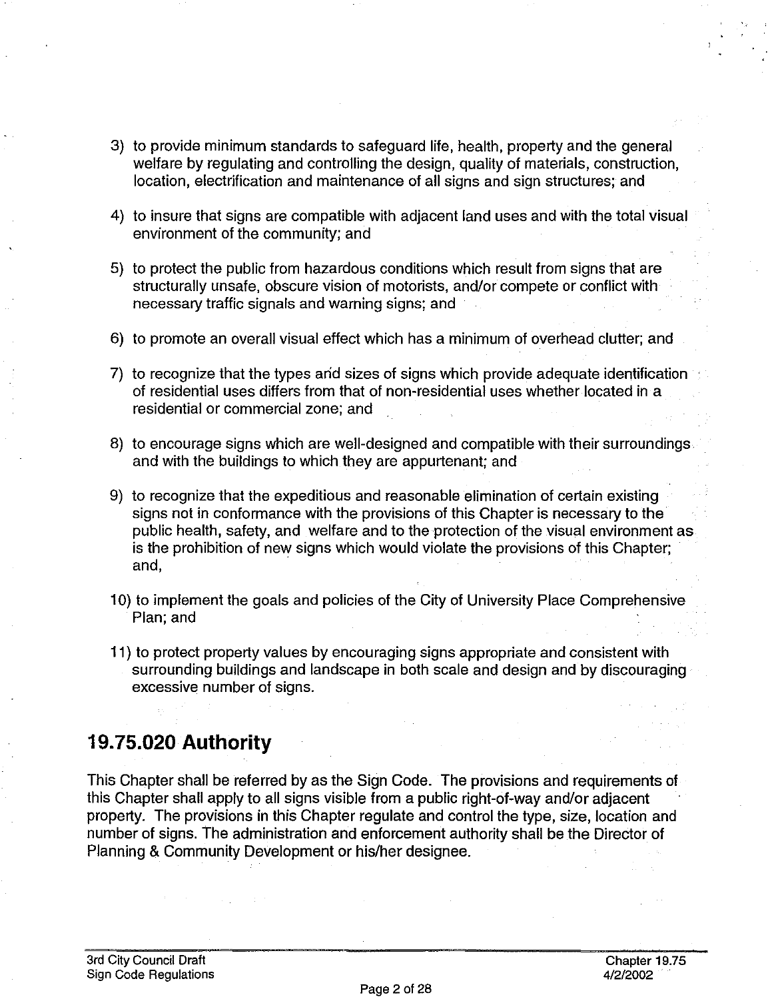- 3) to provide minimum standards to safeguard life, health, property and the general welfare by regulating and controlling the design, quality of materials, construction, location, electrification and maintenance of all signs and sign structures; and
- 4) to insure that signs are compatible with adjacent land uses and with the total visual environment of the community; and
- 5) to protect the public from hazardous conditions which result from signs that are structurally unsafe, obscure vision of motorists, and/or compete or conflict with necessary traffic signals and warning signs; and
- 6) to promote an overall visual effect which has a minimum of overhead clutter; and
- 7) to recognize that the types arid sizes of signs which provide adequate identification of residential uses differs from that of non-residential uses whether located in a residential or commercial zone; and
- 8) to encourage signs which are well-designed and compatible with their surroundings and with the buildings to which they are appurtenant; and
- 9) to recognize that the expeditious and reasonable elimination of certain existing signs not in conformance with the provisions of this Chapter is necessary to the public health, safety, and welfare and to the protection of the visual environment as is the prohibition of new signs which would violate the provisions of this Chapter; and,
- 10) to implement the goals and policies of the City of University Place Comprehensive Plan; and
- 11) to protect property values by encouraging signs appropriate and consistent with surrounding buildings and landscape in both scale and design and by discouraging excessive number of signs.

### **19.75.020 Authority**

This Chapter shall be referred by as the Sign Code. The provisions and requirements of this Chapter shall apply to all signs visible from a public right-of-way and/or adjacent property. The provisions in this Chapter regulate and control the type, size, location and number of signs. The administration and enforcement authority shall be the Director of Planning & Community Development or his/her designee.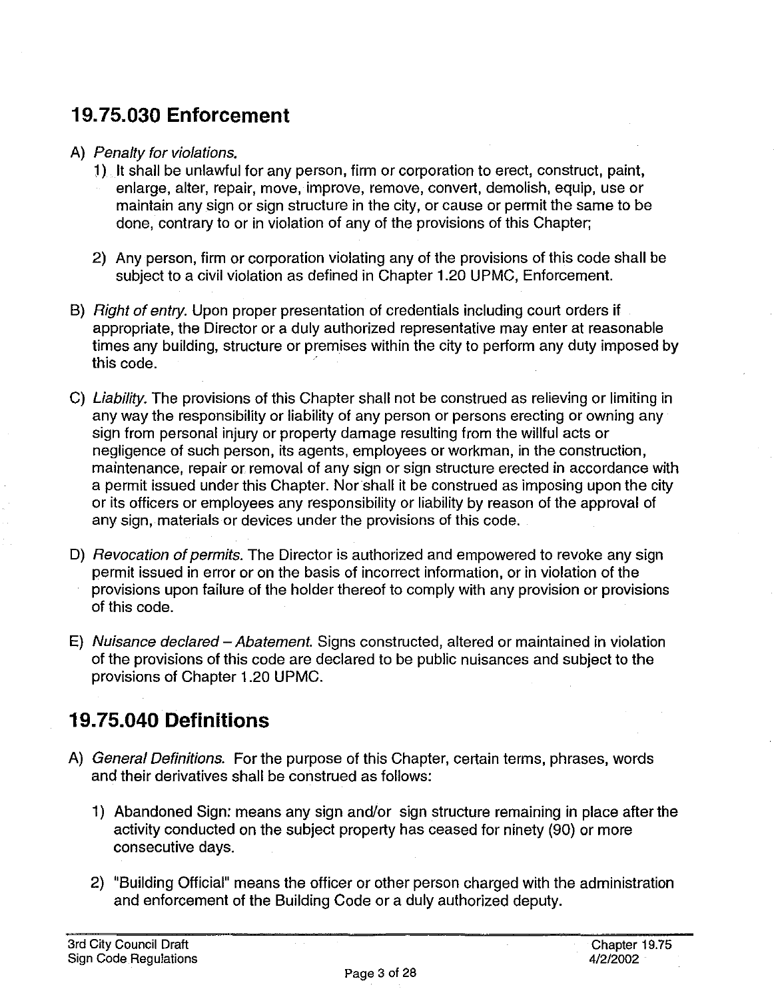# **19. 75.030 Enforcement**

#### A) Penalty for violations.

- 1) It shall be unlawful for any person, firm or corporation to erect, construct, paint, enlarge, alter, repair, move, improve, remove, convert, demolish, equip, use or maintain any sign or sign structure in the city, or cause or permit the same to be done, contrary to or in violation of any of the provisions of this Chapter;
- 2) Any person, firm or corporation violating any of the provisions of this code shall be subject to a civil violation as defined in Chapter 1.20 UPMC, Enforcement.
- B) Right of entry. Upon proper presentation of credentials including court orders if appropriate, the Director or a duly authorized representative may enter at reasonable times any building, structure or premises within the city to perform any duty imposed by this code.
- C) Liability. The provisions of this Chapter shall not be construed as relieving or limiting in any way the responsibility or liability of any person or persons erecting or owning any sign from personal injury or property damage resulting from the willful acts or negligence of such person, its agents, employees or workman, in the construction, maintenance, repair or removal of any sign or sign structure erected in accordance with a permit issued under this Chapter. Nor shall it be construed as imposing upon the city or its officers or employees any responsibility or liability by reason of the approval of any sign, materials or devices under the provisions of this code.
- D) *Revocation of permits*. The Director is authorized and empowered to revoke any sign permit issued in error or on the basis of incorrect information, or in violation of the provisions upon failure of the holder thereof to comply with any provision or provisions of this code.
- E) Nuisance declared Abatement. Signs constructed, altered or maintained in violation of the provisions of this code are declared to be public nuisances and subject to the provisions of Chapter 1.20 UPMC.

# **19.75.040 Definitions**

- A) General Definitions. For the purpose of this Chapter, certain terms, phrases, words and their derivatives shall be construed as follows:
	- 1) Abandoned Sign: means any sign and/or sign structure remaining in place after the activity conducted on the subject property has ceased for ninety (90) or more consecutive days.
	- 2) "Building Official" means the officer or other person charged with the administration and enforcement of the Building Code or a duly authorized deputy.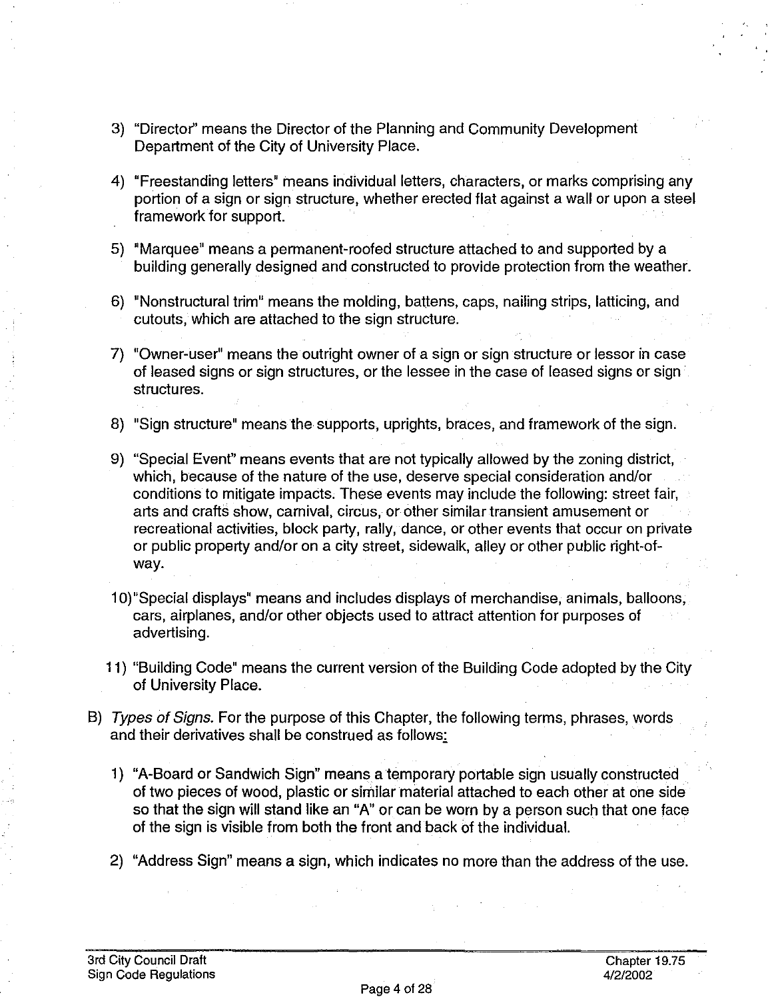- 3) "Director" means the Director of the Planning and Community Development Department of the City of University Place.
- 4) "Freestanding letters" means individual letters, characters, or marks comprising any portion of a sign or sign structure, whether erected flat against a wall or upon a steel framework for support.
- 5) "Marquee" means a permanent-roofed structure attached to and supported by a building generally designed and constructed to provide protection from the weather.
- 6) "Nonstructural trim" means the molding, battens, caps, nailing strips, latticing, and cutouts, which are attached to the sign structure.
- 7) "Owner-user" means the outright owner of a sign or sign structure or lessor in case of leased signs or sign structures, or the lessee in the case of leased signs or sign structures.
- 8) "Sign structure" means the supports, uprights, braces, and framework of the sign.
- 9) "Special Event" means events that are not typically allowed by the zoning district, which, because of the nature of the use, deserve special consideration and/or conditions to mitigate impacts. These events may include the following: street fair, arts and crafts show, carnival, circus, or other similar transient amusement or recreational activities, block party, rally, dance, or other events that occur on private or public property and/or on a city street, sidewalk, alley or other public right-ofway.
- 1 O)"Special displays" means and includes displays of merchandise, animals, balloons, cars, airplanes, and/or other objects used to attract attention for purposes of advertising.
- 11) "Building Code" means the current version of the Building Code adopted by the City of University Place.
- B) Types of Signs. For the purpose of this Chapter, the following terms, phrases, words and their derivatives shall be construed as follows:
	- 1) "A-Board or Sandwich Sign" means a temporary portable sign usually constructed of two pieces of wood, plastic or similar material attached to each other at one side so that the sign will stand like an "A" or can be worn by a person such that one face of the sign is visible from both the front and back of the individual.
	- 2) "Address Sign" means a sign, which indicates no more than the address of the use.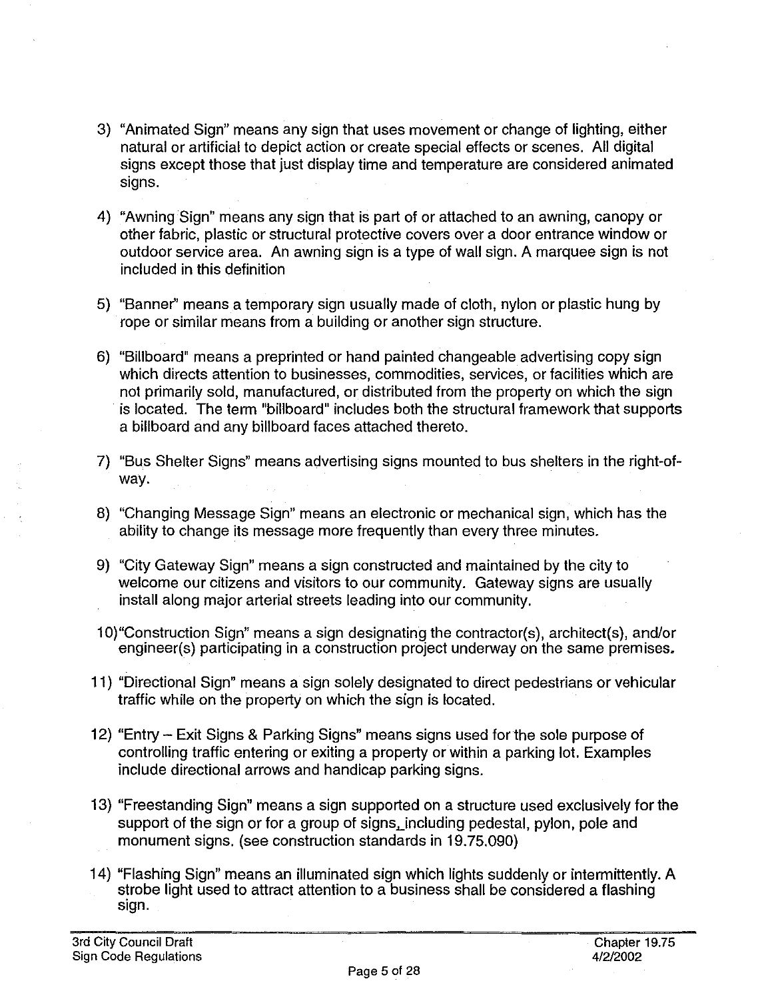- 3) "Animated Sign" means any sign that uses movement or change of lighting, either natural or artificial to depict action or create special effects or scenes. All digital signs except those that just display time and temperature are considered animated signs.
- 4) "Awning Sign" means any sign that is part of or attached to an awning, canopy or other fabric, plastic or structural protective covers over a door entrance window or outdoor service area. An awning sign is a type of wall sign. A marquee sign is not included in this definition
- 5) "Banner" means a temporary sign usually made of cloth, nylon or plastic hung by rope or similar means from a building or another sign structure.
- 6) "Billboard" means a preprinted or hand painted changeable advertising copy sign which directs attention to businesses, commodities, services, or facilities which are not primarily sold, manufactured, or distributed from the property on which the sign is located. The term "billboard" includes both the structural framework that supports a billboard and any billboard faces attached thereto.
- 7) "Bus Shelter Signs" means advertising signs mounted to bus shelters in the right-ofway.
- 8) "Changing Message Sign" means an electronic or mechanical sign, which has the ability to change its message more frequently than every three minutes.
- 9) "City Gateway Sign" means a sign constructed and maintained by the city to welcome our citizens and visitors to our community. Gateway signs are usually install along major arterial streets leading into our community.
- 1 O)"Construction Sign" means a sign designating the contractor(s), architect(s), and/or engineer(s) participating in a construction project underway on the same premises.
- 11) "Directional Sign" means a sign solely designated to direct pedestrians or vehicular traffic while on the property on which the sign is located.
- 12) "Entry Exit Signs & Parking Signs" means signs used for the sole purpose of controlling traffic entering or exiting a property or within a parking lot. Examples include directional arrows and handicap parking signs.
- 13) "Freestanding Sign" means a sign supported on a structure used exclusively for the support of the sign or for a group of signs, including pedestal, pylon, pole and monument signs. (see construction standards in 19.75.090)
- 14) "Flashing Sign" means an illuminated sign which lights suddenly or intermittently. A strobe light used to attract attention to a business shall be considered a flashing sign.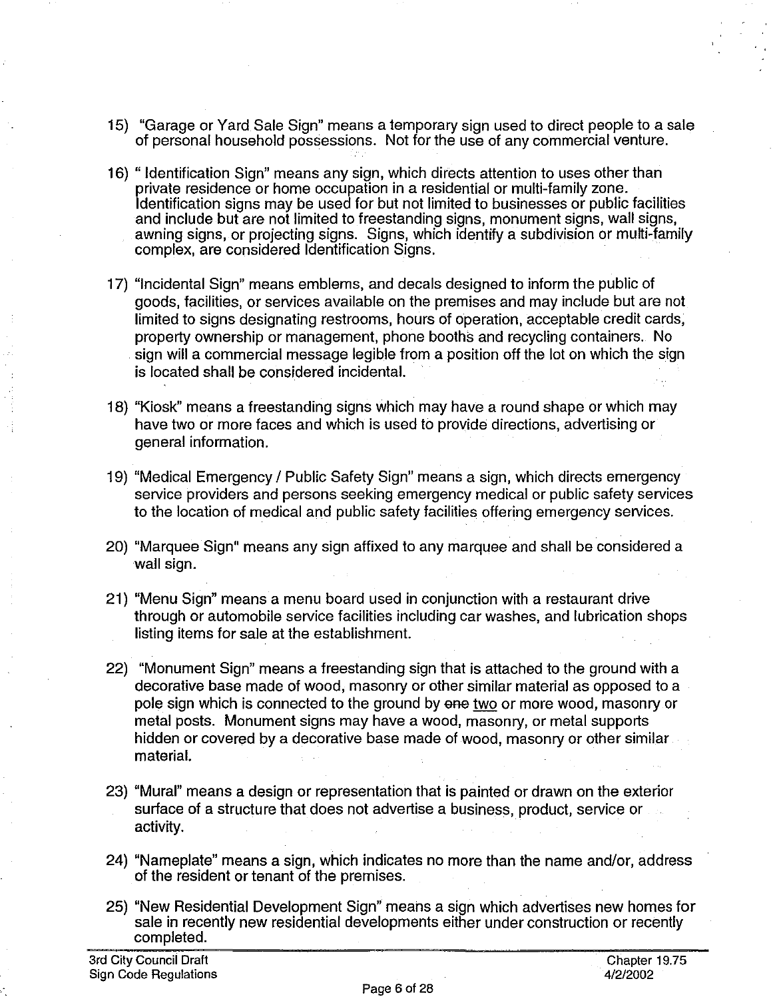- 15) "Garage or Yard Sale Sign" means a temporary sign used to direct people to a sale of personal household possessions. Not for the use of any commercial venture.
- 16) " Identification Sign" means any sign, which directs attention to uses other than private residence or home occupation in a residential or multi-family zone. Identification signs may be used for but not limited to businesses or public facilities and include but are not limited to freestanding signs, monument signs, wall signs, awning signs, or projecting signs. Signs, which identify a subdivision or multi-family complex, are considered Identification Signs.
- 17) "Incidental Sign" means emblems, and decals designed to inform the public of goods, facilities, or services available on the premises and may include but are not limited to signs designating restrooms, hours of operation, acceptable credit cards, property ownership or management, phone booths and recycling containers. No sign will a commercial message legible from a position off the lot on which the sign is located shall be considered incidental.
- 18) "Kiosk" means a freestanding signs which may have a round shape or which may have two or more faces and which is used to provide directions, advertising or general information.
- 19) "Medical Emergency I Public Safety Sign" means a sign, which directs emergency service providers and persons seeking emergency medical or public safety services to the location of medical and public safety facilities offering emergency services.
- 20) "Marquee Sign" means any sign affixed to any marquee and shall be considered a wall sign.
- 21) "Menu Sign" means a menu board used in conjunction with a restaurant drive through or automobile service facilities including car washes, and lubrication shops listing items for sale at the establishment.
- 22) "Monument Sign" means a freestanding sign that is attached to the ground with a decorative base made of wood, masonry or other similar material as opposed to a pole sign which is connected to the ground by one two or more wood, masonry or metal posts. Monument signs may have a wood, masonry, or metal supports hidden or covered by a decorative base made of wood, masonry or other similar material.
- 23) "Mural" means a design or representation that is painted or drawn on the exterior surface of a structure that does not advertise a business, product, service or activity.
- 24) "Nameplate" means a sign, which indicates no more than the name and/or, address of the resident or tenant of the premises.
- 25) "New Residential Development Sign" means a sign which advertises new homes for sale in recently new residential developments either under construction or recently completed.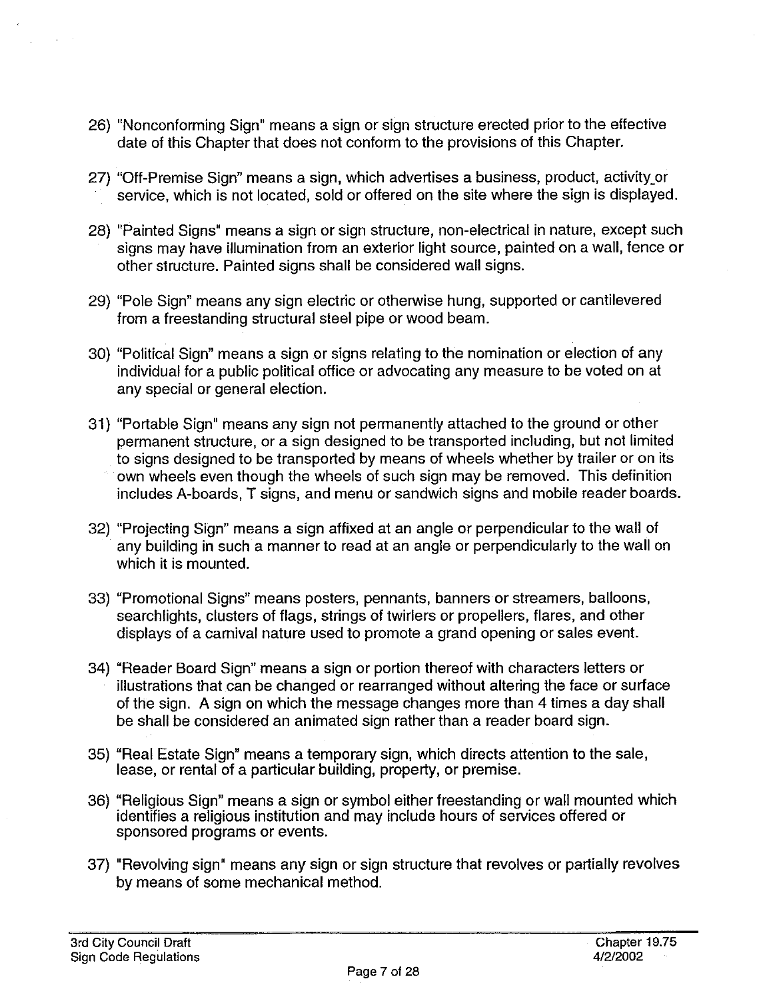- 26) "Nonconforming Sign" means a sign or sign structure erected prior to the effective date of this Chapter that does not conform to the provisions of this Chapter.
- 27) "Off-Premise Sign" means a sign, which advertises a business, product, activity or service, which is not located, sold or offered on the site where the sign is displayed.
- 28) "Painted Signs" means a sign or sign structure, non-electrical in nature, except such signs may have illumination from an exterior light source, painted on a wall, fence or other structure. Painted signs shall be considered wall signs.
- 29) "Pole Sign" means any sign electric or otherwise hung, supported or cantilevered from a freestanding structural steel pipe or wood beam.
- 30) "Political Sign" means a sign or signs relating to the nomination or election of any individual for a public political office or advocating any measure to be voted on at any special or general election.
- 31) "Portable Sign" means any sign not permanently attached to the ground or other permanent structure, or a sign designed to be transported including, but not limited to signs designed to be transported by means of wheels whether by trailer or on its own wheels even though the wheels of such sign may be removed. This definition includes A-boards, T signs, and menu or sandwich signs and mobile reader boards.
- 32) "Projecting Sign" means a sign affixed at an angle or perpendicular to the wall of any building in such a manner to read at an angle or perpendicularly to the wall on which it is mounted.
- 33) "Promotional Signs" means posters, pennants, banners or streamers, balloons, searchlights, clusters of flags, strings of twirlers or propellers, flares, and other displays of a carnival nature used to promote a grand opening or sales event.
- 34) "Reader Board Sign" means a sign or portion thereof with characters letters or illustrations that can be changed or rearranged without altering the face or surface of the sign. A sign on which the message changes more than 4 times a day shall be shall be considered an animated sign rather than a reader board sign.
- 35) "Real Estate Sign" means a temporary sign, which directs attention to the sale, lease, or rental of a particular building, property, or premise.
- 36) "Religious Sign" means a sign or symbol either freestanding or wall mounted which identifies a religious institution and may include hours of services offered or sponsored programs or events.
- 37) "Revolving sign" means any sign or sign structure that revolves or partially revolves by means of some mechanical method.

 $\mathbb{R}^2$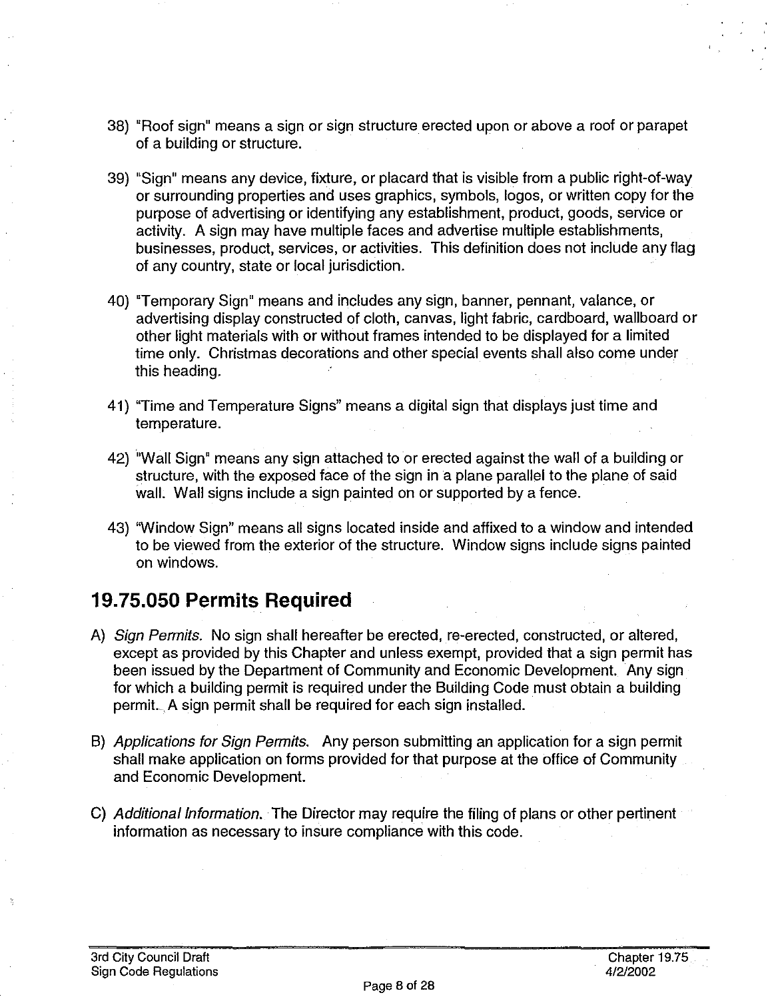- 38) "Roof sign" means a sign or sign structure erected upon or above a roof or parapet of a building or structure.
- 39) "Sign" means any device, fixture, or placard that is visible from a public right-of-way or surrounding properties and uses graphics, symbols, logos, or written copy for the purpose of advertising or identifying any establishment, product, goods, service or activity. A sign may have multiple faces and advertise multiple establishments, businesses, product, services, or activities. This definition does not include any flag of any country, state or local jurisdiction.
- 40) "Temporary Sign" means and includes any sign, banner, pennant, valance, or advertising display constructed of cloth, canvas, light fabric, cardboard, wallboard or other light materials with or without frames intended to be displayed for a limited time only. Christmas decorations and other special events shall also come under this heading.
- 41) "Time and Temperature Signs" means a digital sign that displays just time and temperature.
- 42) "Wall Sign" means any sign attached to or erected against the wall of a building or structure, with the exposed face of the sign in a plane parallel to the plane of said wall. Wall signs include a sign painted on or supported by a fence.
- 43) "Window Sign" means all signs located inside and affixed to a window and intended to be viewed from the exterior of the structure. Window signs include signs painted on windows.

### **19. 75.050 Permits Required**

- A) Sign Permits. No sign shall hereafter be erected, re-erected, constructed, or altered, except as provided by this Chapter and unless exempt, provided that a sign permit has been issued by the Department of Community and Economic Development. Any sign for which a building permit is required under the Building Code must obtain a building permit. A sign permit shall be required for each sign installed.
- B) Applications for Sign Permits. Any person submitting an application for a sign permit shall make application on forms provided for that purpose at the office of Community and Economic Development.
- C) Additional Information. The Director may require the filing of plans or other pertinent information as necessary to insure compliance with this code.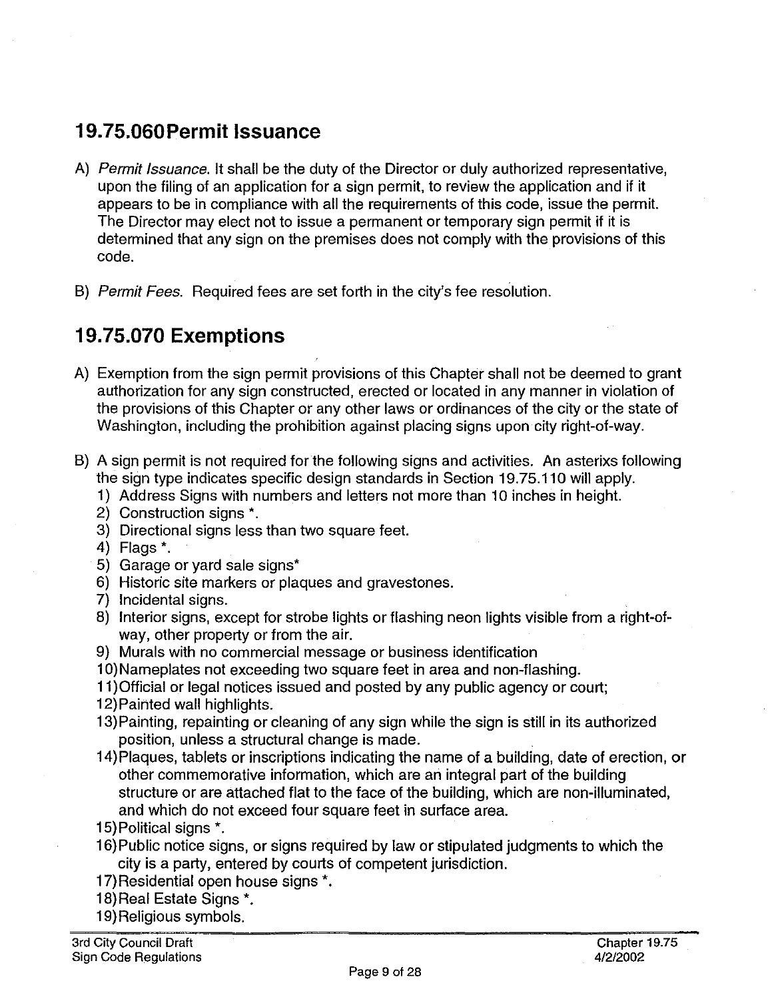#### **19.75.0GOPermit Issuance**

- A) Permit Issuance, It shall be the duty of the Director or duly authorized representative, upon the filing of an application for a sign permit, to review the application and if it appears to be in compliance with all the requirements of this code, issue the permit. The Director may elect not to issue a permanent or temporary sign permit if it is determined that any sign on the premises does not comply with the provisions of this code.
- B) Permit Fees. Required fees are set forth in the city's fee resolution.

### **19. 75.070 Exemptions**

- A) Exemption from the sign permit provisions of this Chapter shall not be deemed to grant authorization for any sign constructed, erected or located in any manner in violation of the provisions of this Chapter or any other laws or ordinances of the city or the state of Washington, including the prohibition against placing signs upon city right-of-way.
- B) A sign permit is not required for the following signs and activities. An asterixs following the sign type indicates specific design standards in Section 19. 75.110 will apply.
	- 1) Address Signs with numbers and letters not more than 10 inches in height.
	- 2) Construction signs \*.
	- 3) Directional signs less than two square feet.
	- 4) Flags\*.
	- 5) Garage or yard sale signs\*
	- 6) Historic site markers or plaques and gravestones.
	- 7) Incidental signs.
	- 8) Interior signs, except for strobe lights or flashing neon lights visible from a right-ofway, other property or from the air.
	- 9) Murals with no commercial message or business identification
	- 1 O) Nameplates not exceeding two square feet in area and non-flashing.
	- 11)0fficial or legal notices issued and posted by any public agency or court;
	- 12) Painted wall highlights.
	- 13) Painting, repainting or cleaning of any sign while the sign is still in its authorized position, unless a structural change is made.
	- 14)Plaques, tablets or inscriptions indicating the name of a building, date of erection, or other commemorative information, which are an integral part of the building structure or are attached flat to the face of the building, which are non-illuminated, and which do not exceed four square feet in surface area.
	- 15) Political signs \*.
	- 16) Public notice signs, or signs required by law or stipulated judgments to which the city is a party, entered by courts of competent jurisdiction.
	- 17) Residential open house signs \*.
	- 18)Real Estate Signs\*.
	- 19) Religious symbols.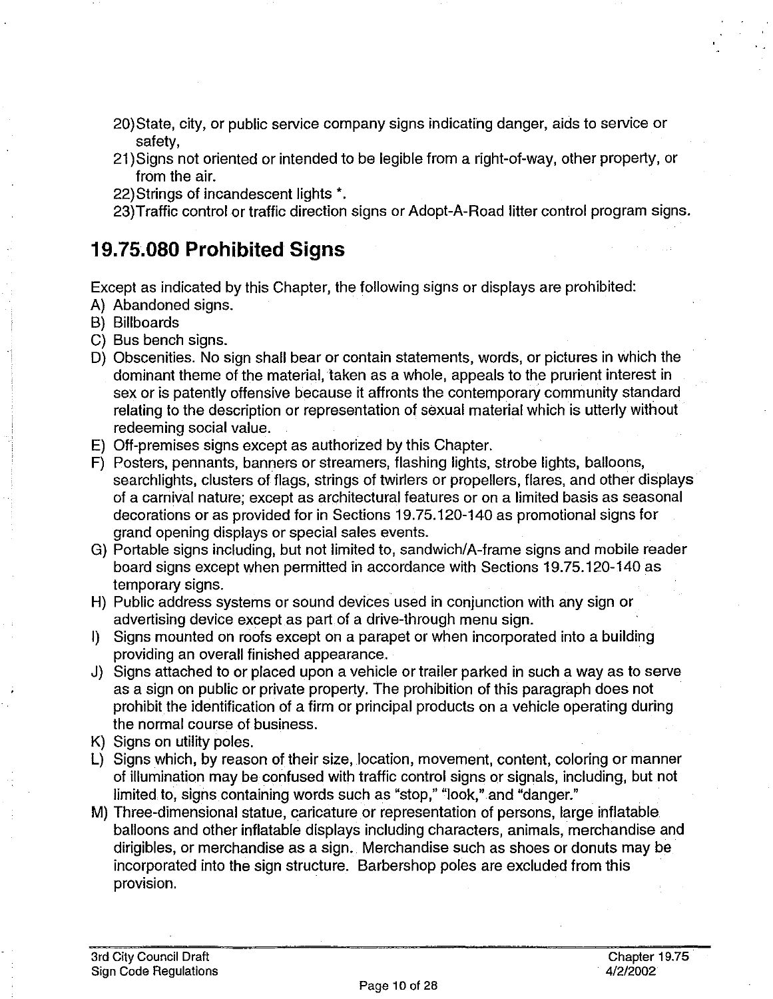- 20)State, city, or public service company signs indicating danger, aids to service or safety,
- 21 )Signs not oriented or intended to be legible from a right-of-way, other property, or from the air.
- 22)Strings of incandescent lights\*.
- 23)Traffic control or traffic direction signs or Adopt-A-Road litter control program signs.

#### **19.75.080 Prohibited Signs**

Except as indicated by this Chapter, the following signs or displays are prohibited:

- A) Abandoned signs.
- B) Billboards
- C) Bus bench signs.
- D) Obscenities. No sign shall bear or contain statements, words, or pictures in which the dominant theme of the material, taken as a whole, appeals to the prurient interest in sex or is patently offensive because it affronts the contemporary community standard relating to the description or representation of sexual material which is utterly without redeeming social value.
- E) Off-premises signs except as authorized by this Chapter.
- F) Posters, pennants, banners or streamers, flashing lights, strobe lights, balloons, searchlights, clusters of flags, strings of twirlers or propellers, flares, and other displays of a carnival nature; except as architectural features or on a limited basis as seasonal decorations or as provided for in Sections 19. 75.120-140 as promotional signs for grand opening displays or special sales events.
- G) Portable signs including, but not limited to, sandwich/A-frame signs and mobile reader board signs except when permitted in accordance with Sections 19.75.120-140 as temporary signs.
- H) Public address systems or sound devices used in conjunction with any sign or advertising device except as part of a drive-through menu sign.
- I) Signs mounted on roofs except on a parapet or when incorporated into a building providing an overall finished appearance.
- J) Signs attached to or placed upon a vehicle or trailer parked in such a way as to serve as a sign on public or private property. The prohibition of this paragraph does not prohibit the identification of a firm or principal products on a vehicle operating during the normal course of business.
- K) Signs on utility poles.
- L) Signs which, by reason of their size, location, movement, content, coloring or manner of illumination may be confused with traffic control signs or signals, including, but not limited to, signs containing words such as "stop," "look," and "danger."
- M) Three-dimensional statue, caricature or representation of persons, large inflatable balloons and other inflatable displays including characters, animals, merchandise and dirigibles, or merchandise as a sign. Merchandise such as shoes or donuts may be incorporated into the sign structure. Barbershop poles are excluded from this provision.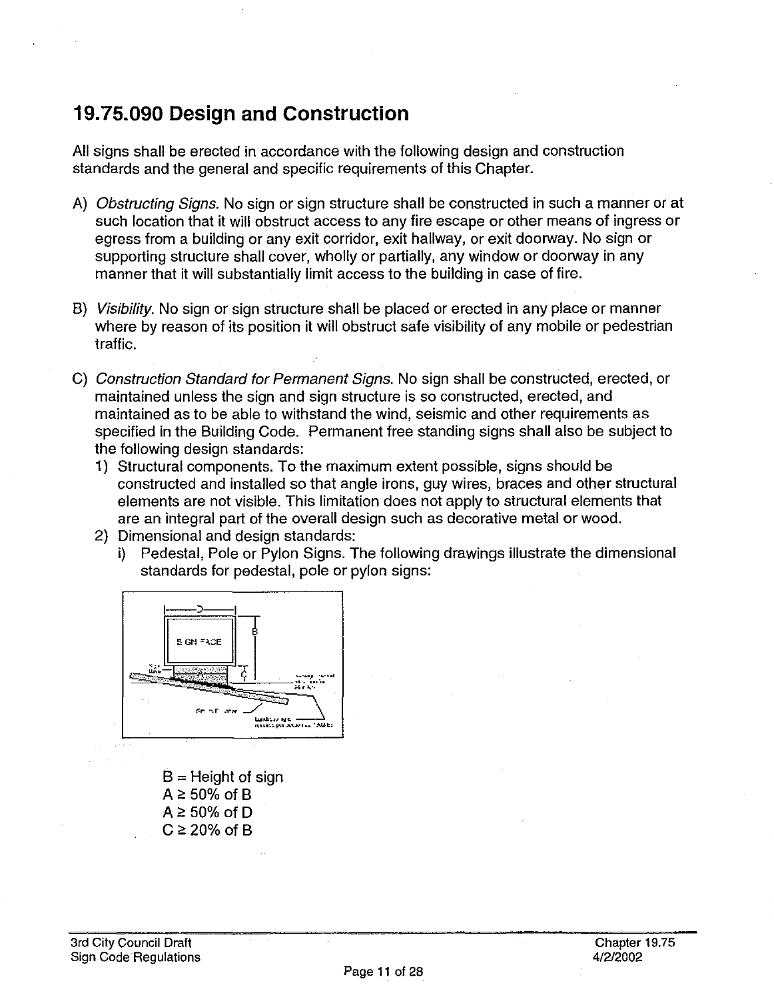#### **19. 75.090 Design and Construction**

All signs shall be erected in accordance with the following design and construction standards and the general and specific requirements of this Chapter.

- A) Obstructing Signs. No sign or sign structure shall be constructed in such a manner or at such location that it will obstruct access to any fire escape or other means of ingress or egress from a building or any exit corridor, exit hallway, or exit doorway. No sign or supporting structure shall cover, wholly or partially, any window or doorway in any manner that it will substantially limit access to the building in case of fire.
- B) Visibility. No sign or sign structure shall be placed or erected in any place or manner where by reason of its position it will obstruct safe visibility of any mobile or pedestrian traffic.
- C) Construction Standard for Permanent Signs. No sign shall be constructed, erected, or maintained unless the sign and sign structure is so constructed, erected, and maintained as to be able to withstand the wind, seismic and other requirements as specified in the Building Code. Permanent free standing signs shall also be subject to the following design standards:
	- 1) Structural components. To the maximum extent possible, signs should be constructed and installed so that angle irons, guy wires, braces and other structural elements are not visible. This limitation does not apply to structural elements that are an integral part of the overall design such as decorative metal or wood.
	- 2) Dimensional and design standards:
		- i) Pedestal, Pole or Pylon Signs. The following drawings illustrate the dimensional standards for pedestal, pole or pylon signs:



 $B =$  Height of sign  $A \geq 50\%$  of B  $A \ge 50\%$  of D  $C \ge 20\%$  of B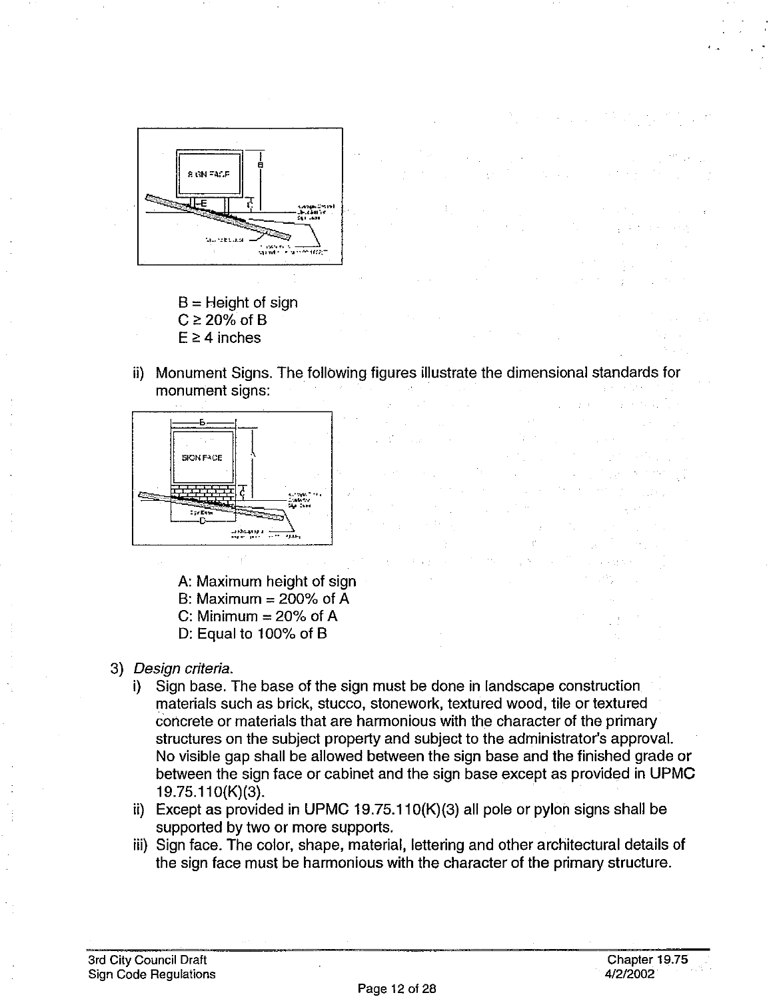

- $B =$  Height of sign  $C \ge 20\%$  of B  $E \geq 4$  inches
- ii) Monument Signs. The following figures illustrate the dimensional standards for monument signs: **Contract**

 $\label{eq:3.1} \mathcal{F} = \{ \mathbf{q}_1, \ldots, \mathbf{q}_N \} \subset \mathcal{F}$ 



A: Maximum height of sign B: Maximum  $= 200\%$  of A C: Minimum  $= 20\%$  of A D: Equal to 100% of 8

- 3) Design criteria.
	- i) Sign base. The base of the sign must be done in landscape construction materials such as brick, stucco, stonework, textured wood, tile or textured concrete or materials that are harmonious with the character of the primary structures on the subject property and subject to the administrator's approval. No visible gap shall be allowed between the sign base and the finished grade or between the sign face or cabinet and the sign base except as provided in UPMC 19.75.11 O{K)(3).
	- ii) Except as provided in UPMC 19.75.110 $(K)(3)$  all pole or pylon signs shall be supported by two or more supports.
	- iii) Sign face. The color, shape, material, lettering and other architectural details of the sign face must be harmonious with the character of the primary structure.

State State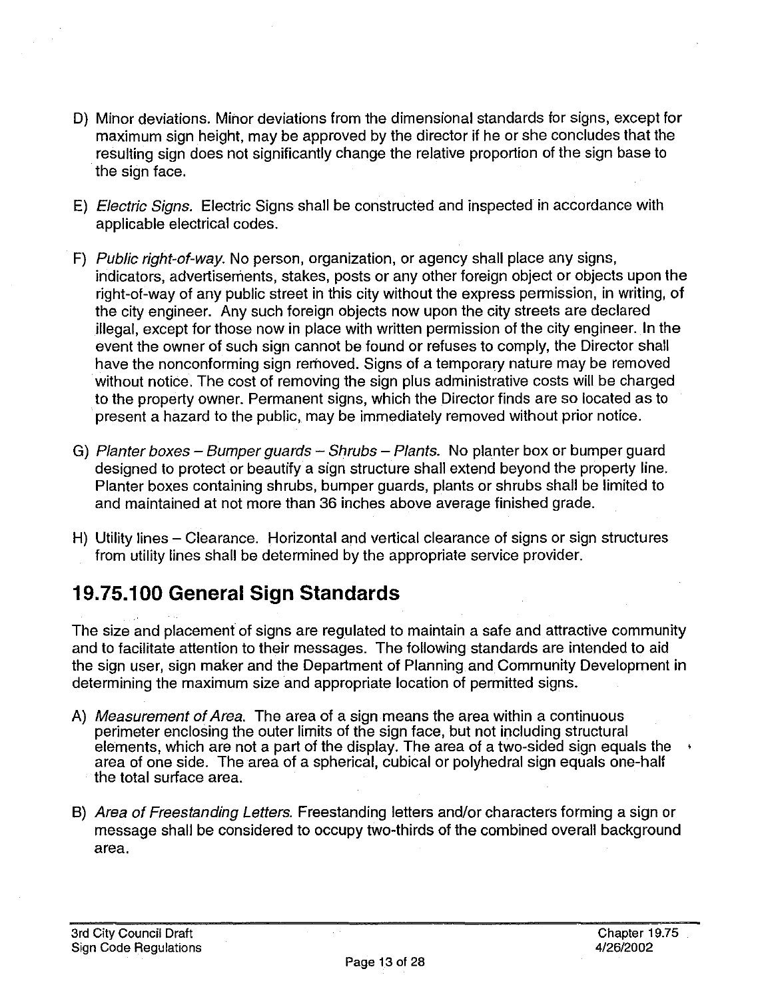- D) Minor deviations. Minor deviations from the dimensional standards for signs, except for maximum sign height, may be approved by the director if he or she concludes that the resulting sign does not significantly change the relative proportion of the sign base to the sign face.
- E) Electric Signs. Electric Signs shall be constructed and inspected in accordance with applicable electrical codes.
- F) Public right-of-way. No person, organization, or agency shall place any signs, indicators, advertisements, stakes, posts or any other foreign object or objects upon the right-of-way of any public street in this city without the express permission, in writing, of the city engineer. Any such foreign objects now upon the city streets are declared illegal, except for those now in place with written permission of the city engineer. In the event the owner of such sign cannot be found or refuses to comply, the Director shall have the nonconforming sign removed. Signs of a temporary nature may be removed without notice. The cost of removing the sign plus administrative costs will be charged to the property owner. Permanent signs, which the Director finds are so located as to present a hazard to the public, may be immediately removed without prior notice.
- G) Planter boxes Bumper guards Shrubs Plants. No planter box or bumper guard designed to protect or beautify a sign structure shall extend beyond the property line. Planter boxes containing shrubs, bumper guards, plants or shrubs shall be limited to and maintained at not more than 36 inches above average finished grade.
- H) Utility lines Clearance. Horizontal and vertical clearance of signs or sign structures from utility lines shall be determined by the appropriate service provider.

# **19. 75.100 General Sign Standards**

The size and placement of signs are regulated to maintain a safe and attractive community and to facilitate attention to their messages. The following standards are intended to aid the sign user, sign maker and the Department of Planning and Community Development in determining the maximum size and appropriate location of permitted signs.

- A) Measurement of Area. The area of a sign means the area within a continuous perimeter enclosing the outer limits of the sign face, but not including structural elements, which are not a part of the display. The area of a two-sided sign equals the • area of one side. The area of a spherical, cubical or polyhedral sign equals one-half the total surface area.
- B) Area of Freestanding Letters. Freestanding letters and/or characters forming a sign or message shall be considered to occupy two-thirds of the combined overall background area.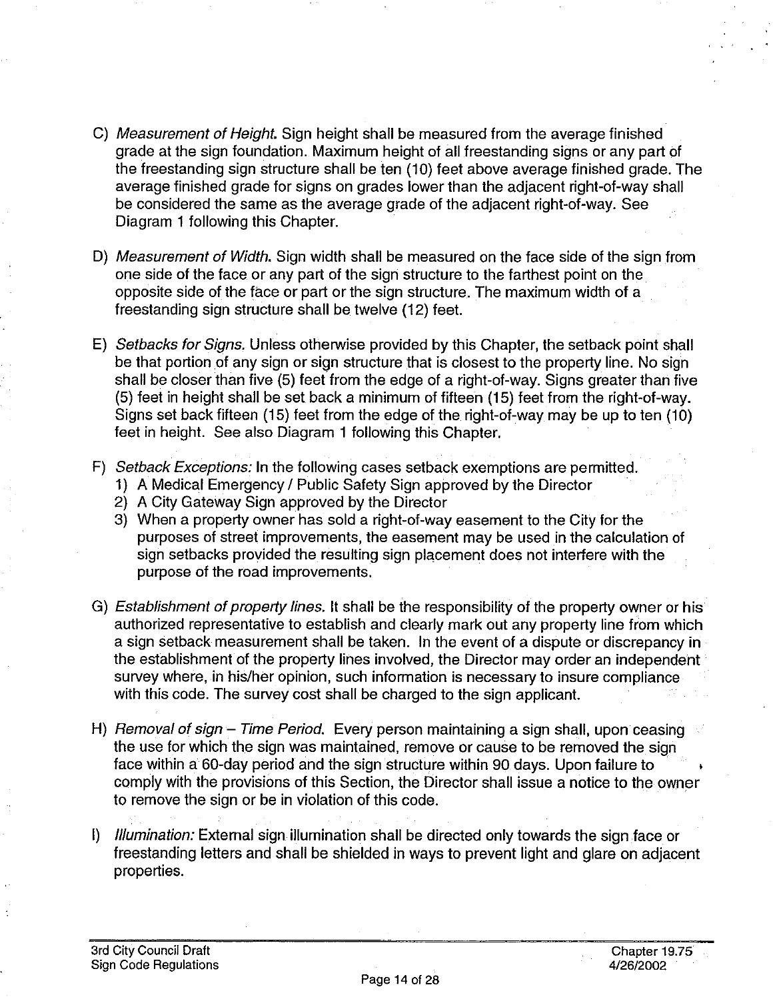- C) Measurement of Height. Sign height shall be measured from the average finished grade at the sign foundation. Maximum height of all freestanding signs or any part of the freestanding sign structure shall be ten (10) feet above average finished grade. The average finished grade for signs on grades lower than the adjacent right-of-way shall be considered the same as the average grade of the adjacent right-of-way. See Diagram 1 following this Chapter.
- D) Measurement of Width. Sign width shall be measured on the face side of the sign from one side of the face or any part of the sign structure to the farthest point on the opposite side of the face or part or the sign structure. The maximum width of a freestanding sign structure shall be twelve (12) feet.
- E) Setbacks for Signs. Unless otherwise provided by this Chapter, the setback point shall be that portion of any sign or sign structure that is closest to the property line. No sign shall be closer than five (5) feet from the edge of a right-of-way. Signs greater than five (5) feet in height shall be set back a minimum of fifteen (15) feet from the right-of-way. Signs set back fifteen (15) feet from the edge of the right-of-way may be up to ten (10) feet in height. See also Diagram 1 following this Chapter.
- F) Setback Exceptions: In the following cases setback exemptions are permitted.
	- 1) A Medical Emergency / Public Safety Sign approved by the Director
	- 2) A City Gateway Sign approved by the Director
	- 3) When a property owner has sold a right-of-way easement to the City for the purposes of street improvements, the easement may be used in the calculation of sign setbacks provided the resulting sign placement does not interfere with the purpose of the road improvements.
- G) Establishment of property lines. It shall be the responsibility of the property owner or his authorized representative to establish and clearly mark out any property line from which a sign setback measurement shall be taken. In the event of a dispute or discrepancy in the establishment of the property lines involved, the Director may order an independent survey where, in his/her opinion, such information is necessary to insure compliance with this code. The survey cost shall be charged to the sign applicant.
- H) Removal of sign Time Period. Every person maintaining a sign shall, upon ceasing the use for which the sign was maintained, remove or cause to be removed the sign face within a 60-day period and the sign structure within 90 days. Upon failure to comply with the provisions of this Section, the Director shall issue a notice to the owner to remove the sign or be in violation of this code.
- I) *Illumination:* External sign illumination shall be directed only towards the sign face or freestanding letters and shall be shielded in ways to prevent light and glare on adjacent properties.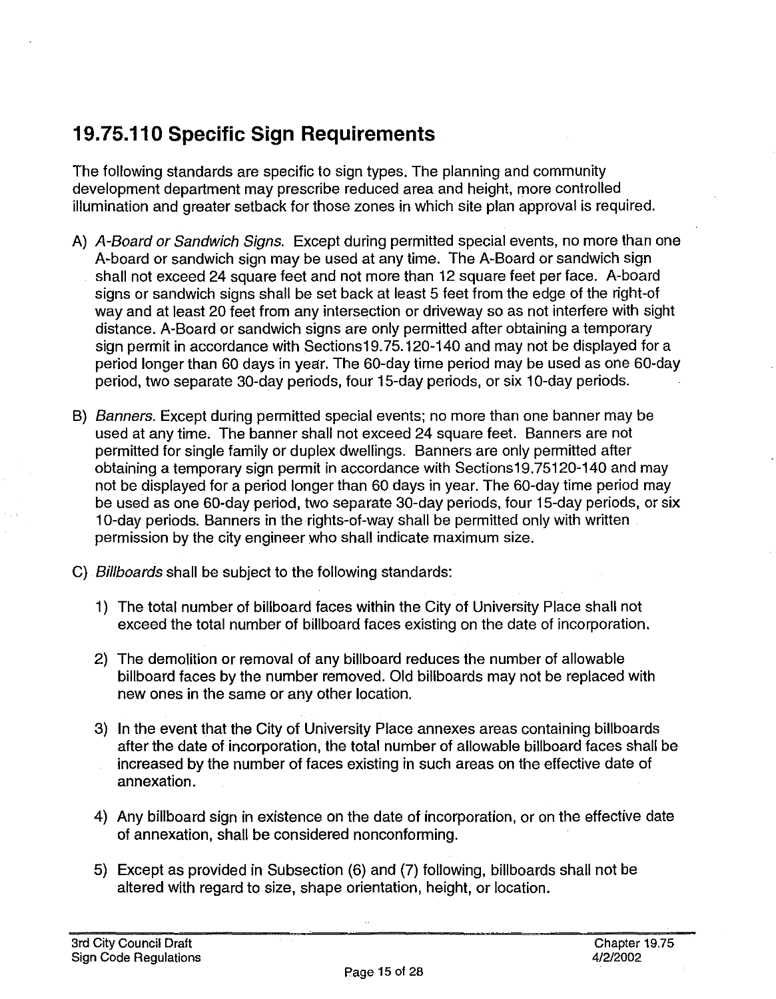# **19. 75.11 O Specific Sign Requirements**

The following standards are specific to sign types. The planning and community development department may prescribe reduced area and height, more controlled illumination and greater setback for those zones in which site plan approval is required.

- A) A-Board or Sandwich Signs. Except during permitted special events, no more than one A-board or sandwich sign may be used at any time. The A-Board or sandwich sign shall not exceed 24 square feet and not more than 12 square feet per face. A-board signs or sandwich signs shall be set back at least 5 feet from the edge of the right-of way and at least 20 feet from any intersection or driveway so as not interfere with sight distance. A-Board or sandwich signs are only permitted after obtaining a temporary sign permit in accordance with Sections19. 75.120-140 and may not be displayed for a period longer than 60 days in year. The 60-day time period may be used as one 60-day period, two separate 30-day periods, four 15-day periods, or six 10-day periods.
- B) *Banners*. Except during permitted special events; no more than one banner may be used at any time. The banner shall not exceed 24 square feet. Banners are not permitted for single family or duplex dwellings. Banners are only permitted after obtaining a temporary sign permit in accordance with Sections19.75120-140 and may not be displayed for a period longer than 60 days in year. The 60-day time period may be used as one 60-day period, two separate 30-day periods, four 15-day periods, or six 10-day periods. Banners in the rights-of-way shall be permitted only with written permission by the city engineer who shall indicate maximum size.
- C) Billboards shall be subject to the following standards:
	- 1) The total number of billboard faces within the City of University Place shall not exceed the total number of billboard faces existing on the date of incorporation.
	- 2) The demolition or removal of any billboard reduces the number of allowable billboard faces by the number removed. Old billboards may not be replaced with new ones in the same or any other location.
	- 3) In the event that the City of University Place annexes areas containing billboards after the date of incorporation, the total number of allowable billboard faces shall be increased by the number of faces existing in such areas on the effective date of annexation.
	- 4) Any billboard sign in existence on the date of incorporation, or on the effective date of annexation, shall be considered nonconforming.
	- 5) Except as provided in Subsection (6) and (7) following, billboards shall not be altered with regard to size, shape orientation, height, or location.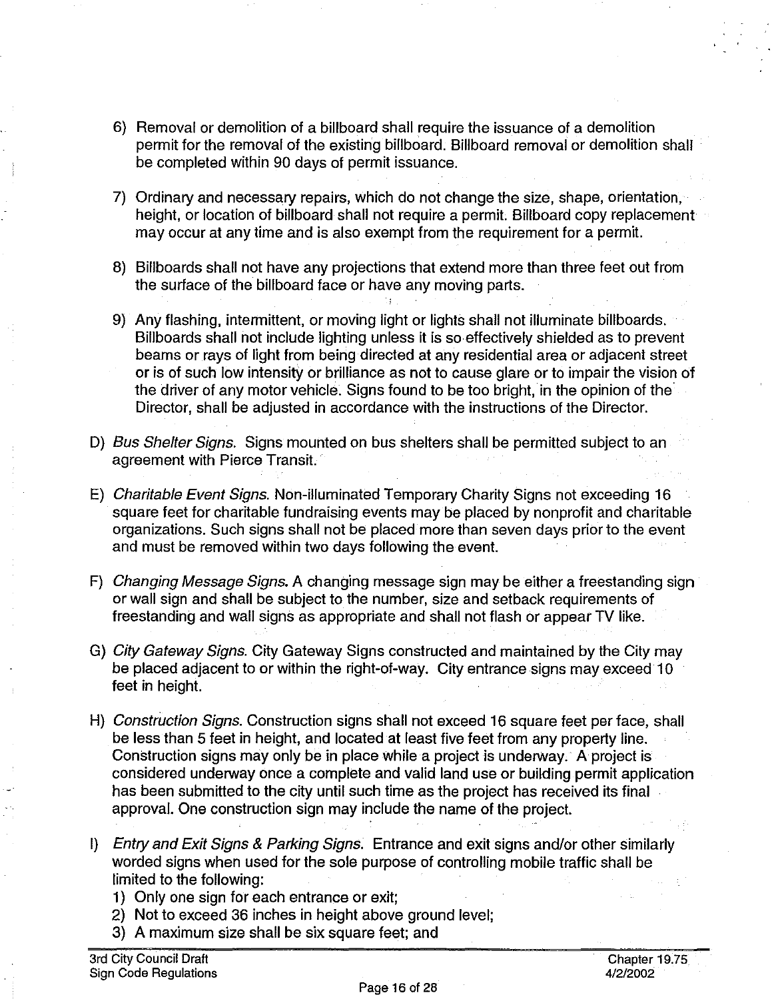- 6) Removal or demolition of a billboard shall require the issuance of a demolition permit for the removal of the existing billboard. Billboard removal or demolition shall be completed within 90 days of permit issuance.
- 7) Ordinary and necessary repairs, which do not change the size, shape, orientation, height, or location of billboard shall not require a permit. Billboard copy replacement may occur at any time and is also exempt from the requirement for a permit.
- 8) Billboards shall not have any projections that extend more than three feet out from the surface of the billboard face or have any moving parts.
- 9) Any flashing, intermittent, or moving light or lights shall not illuminate billboards. Billboards shall not include lighting unless it is so effectively shielded as to prevent beams or rays of light from being directed at any residential area or adjacent street or is of such low intensity or brilliance as not to cause glare or to impair the vision of the driver of any motor vehicle. Signs found to be too bright, in the opinion of the· Director, shall be adjusted in accordance with the instructions of the Director.
- D) Bus Shelter Signs. Signs mounted on bus shelters shall be permitted subject to an agreement with Pierce Transit.
- E) Charitable Event Signs. Non-illuminated Temporary Charity Signs not exceeding 16 square feet for charitable fundraising events may be placed by nonprofit and charitable organizations. Such signs shall not be placed more than seven days prior to the event and must be removed within two days following the event.
- F) Changing Message Signs. A changing message sign may be either a freestanding sign or wall sign and shall be subject to the number, size and setback requirements of freestanding and wall signs as appropriate and shall not flash or appear TV like.
- G) City Gateway Signs. City Gateway Signs constructed and maintained by the City may be placed adjacent to or within the right-of-way. City entrance signs may exceed 10 feet in height.
- H) Construction Signs. Construction signs shall not exceed 16 square feet per face, shall be less than 5 feet in height, and located at least five feet from any property line. Construction signs may only be in place while a project is underway.· A project is considered underway once a complete and valid land use or building permit application has been submitted to the city until such time as the project has received its final approval. One construction sign may include the name of the project.
- I) Entry and Exit Signs & Parking Signs. Entrance and exit signs and/or other similarly worded signs when used for the sole purpose of controlling mobile traffic shall be limited to the following:
	- 1) Only one sign for each entrance or exit;
	- 2) Not to exceed 36 inches in height above ground level;
	- 3) A maximum size shall be six square feet; and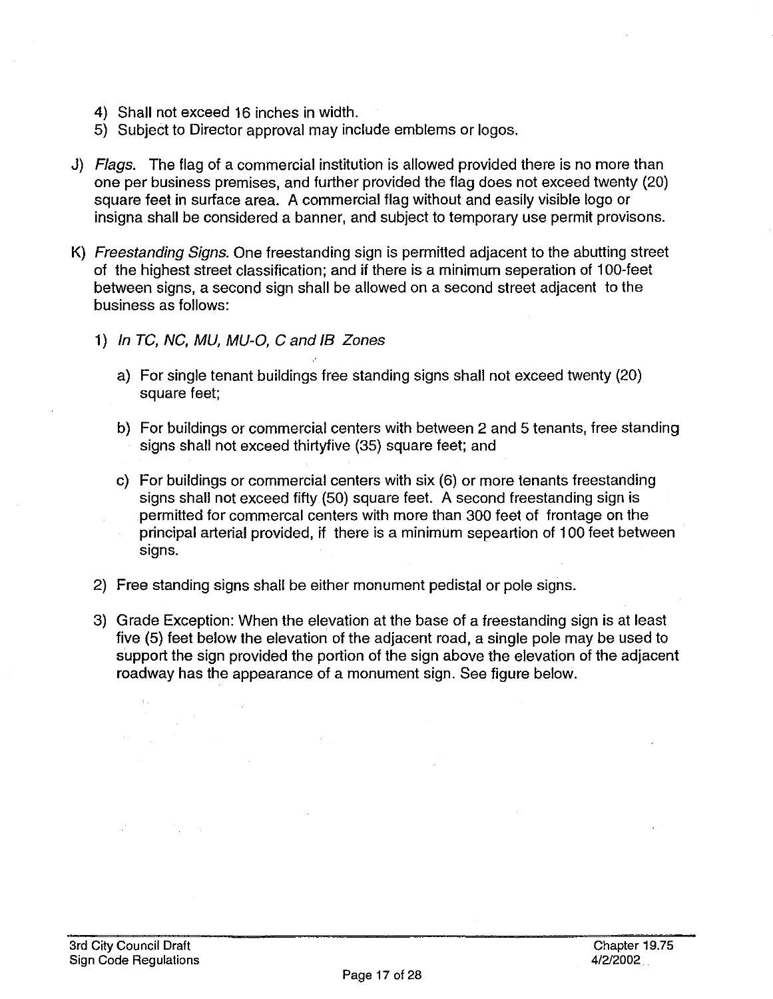- 4) Shall not exceed 16 inches in width.
- 5) Subject to Director approval may include emblems or logos.
- J) Flags. The flag of a commercial institution is allowed provided there is no more than one per business premises, and further provided the flag does not exceed twenty (20) square feet in surface area. A commercial flag without and easily visible logo or insigna shall be considered a banner, and subject to temporary use permit provisons.
- K) Freestanding Signs. One freestanding sign is permitted adjacent to the abutting street of the highest street classification; and if there is a minimum seperation of 100-feet between signs, a second sign shall be allowed on a second street adjacent to the business as follows:
	- 1) In TC, NC, MU, MU-O, C and IB Zones
		- a) For single tenant buildings free standing signs shall not exceed twenty (20) square feet;
		- b) For buildings or commercial centers with between 2 and 5 tenants, free standing signs shall not exceed thirtyfive (35) square feet; and
		- c) For buildings or commercial centers with six (6) or more tenants freestanding signs shall not exceed fifty (50) square feet. A second freestanding sign is permitted for commercal centers with more than 300 feet of frontage on the principal arterial provided, if there is a minimum sepeartion of 100 feet between sians.
	- 2) Free standing signs shall be either monument pedistal or pole signs.

 $\sim 3\times 10^5$ 

3) Grade Exception: When the elevation at the base of a freestanding sign is at least five (5) feet below the elevation of the adjacent road, a single pole may be used to support the sign provided the portion of the sign above the elevation of the adjacent roadway has the appearance of a monument sign. See figure below.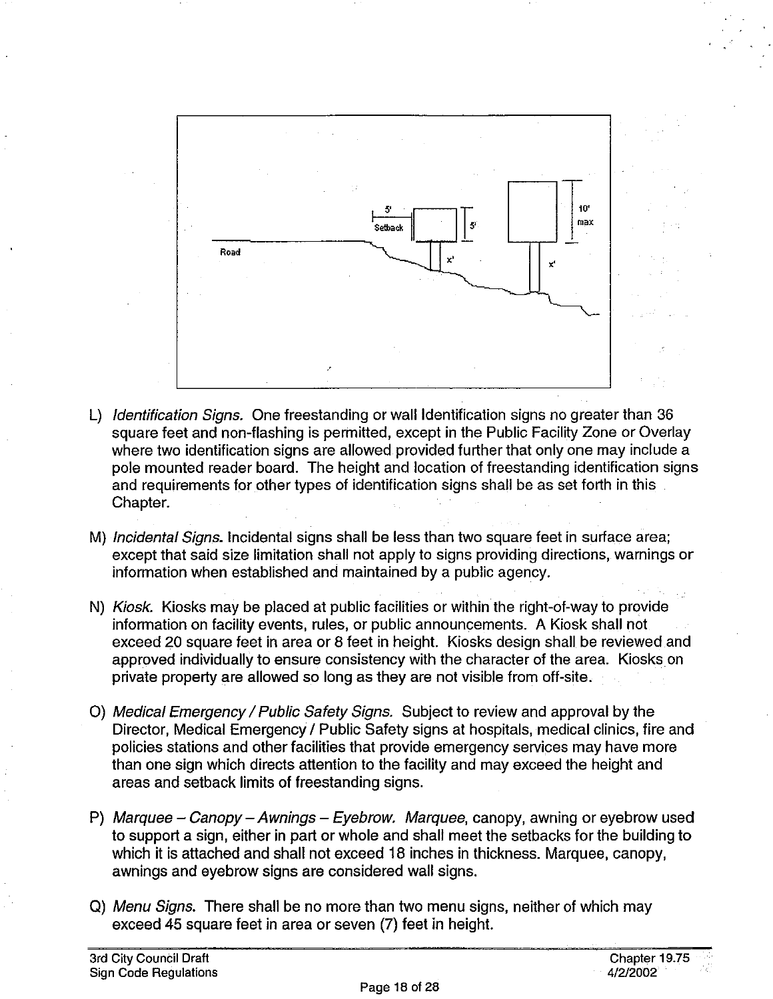

- L) Identification Signs. One freestanding or wall Identification signs no greater than 36 square feet and non-flashing is permitted, except in the Public Facility Zone or Overlay where two identification signs are allowed provided further that only one may include a pole mounted reader board. The height and location of freestanding identification signs and requirements for other types of identification signs shall be as set forth in this Chapter.
- M) Incidental Signs. Incidental signs shall be less than two square feet in surface area; except that said size limitation shall not apply to signs providing directions, warnings or information when established and maintained by a public agency.
- N) Kiosk. Kiosks may be placed at public facilities or within the right-of-way to provide information on facility events, rules, or public announcements. A Kiosk shall not exceed 20 square feet in area or 8 feet in height. Kiosks design shall be reviewed and approved individually to ensure consistency with the character of the area. Kiosks on private property are allowed so long as they are not visible from off-site.
- 0) Medical Emergency / Public Safety Signs. Subject to review and approval by the Director, Medical Emergency / Public Safety signs at hospitals, medical clinics, fire and policies stations and other facilities that provide emergency services may have more than one sign which directs attention to the facility and may exceed the height and areas and setback limits of freestanding signs.
- P) Marquee Canopy Awnings Eyebrow. Marquee, canopy, awning or eyebrow used to support a sign, either in part or whole and shall meet the setbacks for the building to which it is attached and shall not exceed 18 inches in thickness. Marquee, canopy, awnings and eyebrow signs are considered wall signs.
- Q) Menu Signs. There shall be no more than two menu signs, neither of which may exceed 45 square feet in area or seven (7) feet in height.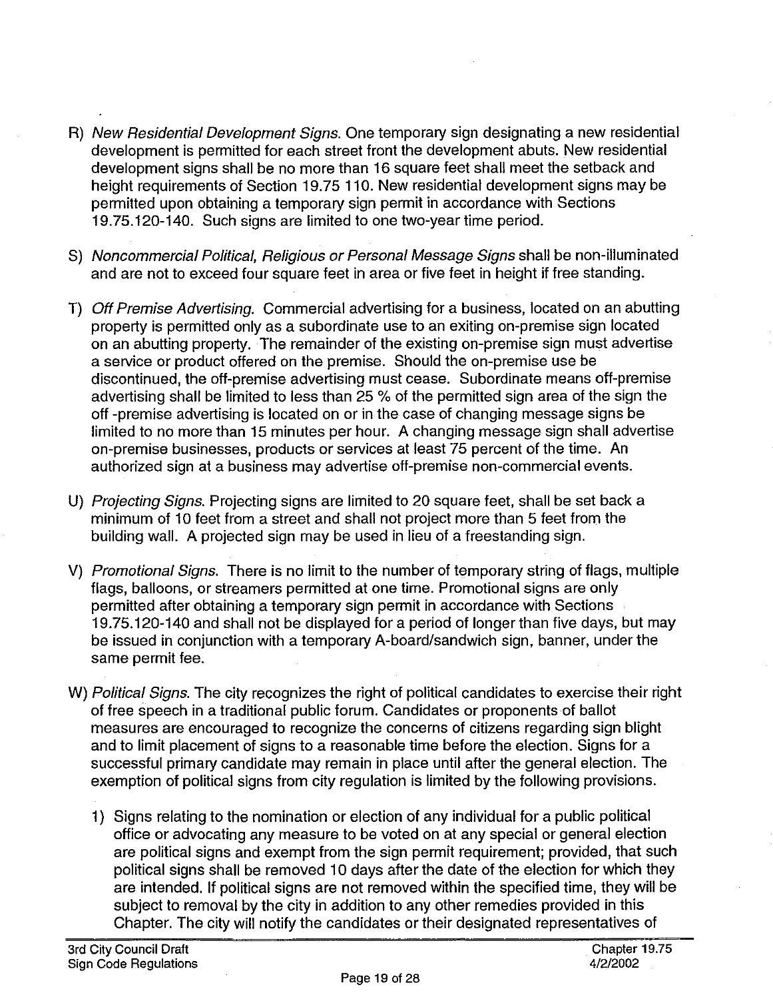- R) New Residential Development Signs. One temporary sign designating a new residential development is permitted for each street front the development abuts. New residential development signs shall be no more than 16 square feet shall meet the setback and height requirements of Section 19.75 110. New residential development signs may be permitted upon obtaining a temporary sign permit in accordance with Sections 19.75.120-140. Such signs are limited to one two-year time period.
- S) Noncommercial Political, Religious or Personal Message Signs shall be non-illuminated and are not to exceed four square feet in area or five feet in height if free standing.
- T) Off Premise Advertising. Commercial advertising for a business, located on an abutting property is permitted only as a subordinate use to an exiting on-premise sign located on an abutting property. The remainder of the existing on-premise sign must advertise a service or product offered on the premise. Should the on-premise use be discontinued, the off-premise advertising must cease. Subordinate means off-premise advertising shall be limited to less than 25 % of the permitted sign area of the sign the off -premise advertising is located on or in the case of changing message signs be limited to no more than 15 minutes per hour. A changing message sign shall advertise on-premise businesses, products or services at least 75 percent of the time. An authorized sign at a business may advertise off-premise non-commercial events.
- U) Projecting Signs. Projecting signs are limited to 20 square feet, shall be set back a minimum of 10 feet from a street and shall not project more than 5 feet from the building wall. A projected sign may be used in lieu of a freestanding sign.
- V) Promotional Signs. There is no limit to the number of temporary string of flags, multiple flags, balloons, or streamers permitted at one time. Promotional signs are only permitted after obtaining a temporary sign permit in accordance with Sections 19. 75.120-140 and shall not be displayed for a period of longer than five days, but may be issued in conjunction with a temporary A-board/sandwich sign, banner, under the same permit fee.
- W) Political Signs. The city recognizes the right of political candidates to exercise their right of free speech in a traditional public forum. Candidates or proponents of ballot measures are encouraged to recognize the concerns of citizens regarding sign blight and to limit placement of signs to a reasonable time before the election. Signs for a successful primary candidate may remain in place until after the general election. The exemption of political signs from city regulation is limited by the following provisions.
	- 1) Signs relating to the nomination or election of any individual for a public political office or advocating any measure to be voted on at any special or general election are political signs and exempt from the sign permit requirement; provided, that such political signs shall be removed 10 days after the date of the election for which they are intended. If political signs are not removed within the specified time, they will be subject to removal by the city in addition to any other remedies provided in this Chapter. The city will notify the candidates or their designated representatives of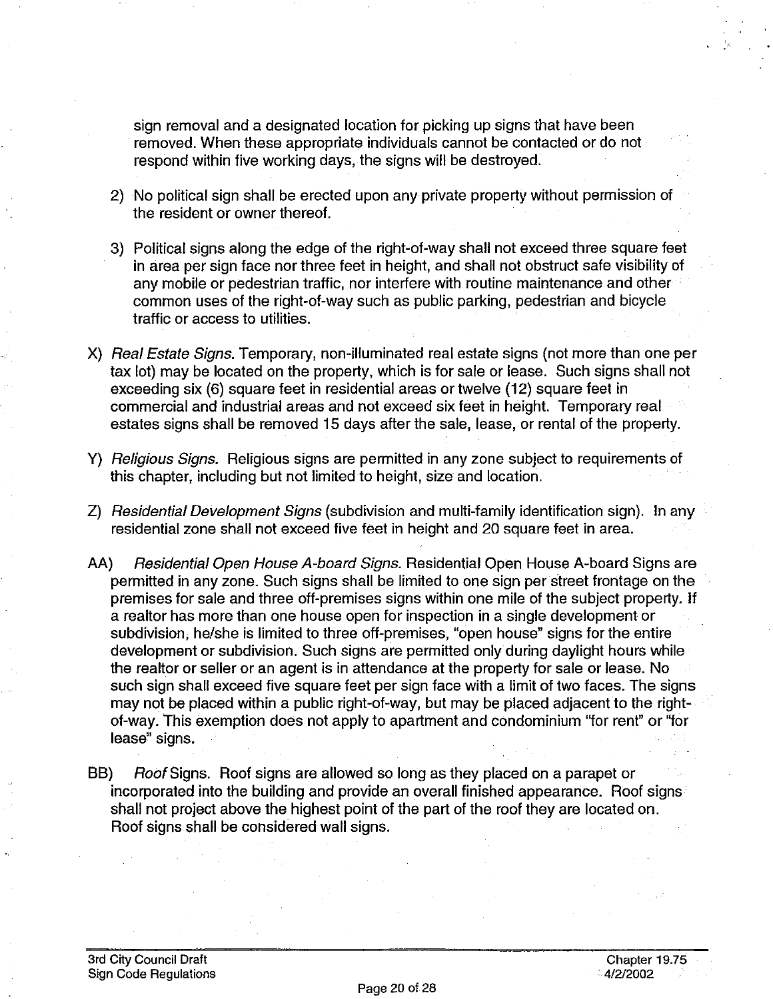sign removal and a designated location for picking up signs that have been removed. When these appropriate individuals cannot be contacted or do not respond within five working days, the signs will be destroyed.

- 2) No political sign shall be erected upon any private property without permission of the resident or owner thereof.
- 3) Political signs along the edge of the right-of-way shall not exceed three square feet in area per sign face nor three feet in height, and shall not obstruct safe visibility of any mobile or pedestrian traffic, nor interfere with routine maintenance and other common uses of the right-of-way such as public parking, pedestrian and bicycle traffic or access to utilities.
- X) Real Estate Signs. Temporary, non-illuminated real estate signs (not more than one per tax lot) may be located on the property, which is for sale or lease. Such signs shall not exceeding six (6) square feet in residential areas or twelve (12) square feet in commercial and industrial areas and not exceed six feet in height. Temporary real estates signs shall be removed 15 days after the sale, lease, or rental of the property.
- Y) *Religious Signs.* Religious signs are permitted in any zone subject to requirements of this chapter, including but not limited to height, size and location.
- Z) Residential Development Signs (subdivision and multi-family identification sign). In any residential zone shall not exceed five feet in height and 20 square feet in area.
- AA) Residential Open House A-board Signs. Residential Open House A-board Signs are permitted in any zone. Such signs shall be limited to one sign per street frontage on the premises for sale and three off-premises signs within one mile of the subject property. If a realtor has more than one house open for inspection in a single development or subdivision, he/she is limited to three off-premises, "open house" signs for the entire development or subdivision. Such signs are permitted only during daylight hours while the realtor or seller or an agent is in attendance at the property for sale or lease. No such sign shall exceed five square feet per sign face with a limit of two faces. The signs may not be placed within a public right-of-way, but may be placed adjacent to the rightof-way. This exemption does not apply to apartment and condominium "for rent" or "for lease" signs.
- BB) Roof Signs. Roof signs are allowed so long as they placed on a parapet or incorporated into the building and provide an overall finished appearance. Roof signs shall not project above the highest point of the part of the roof they are located on. Roof signs shall be considered wall signs.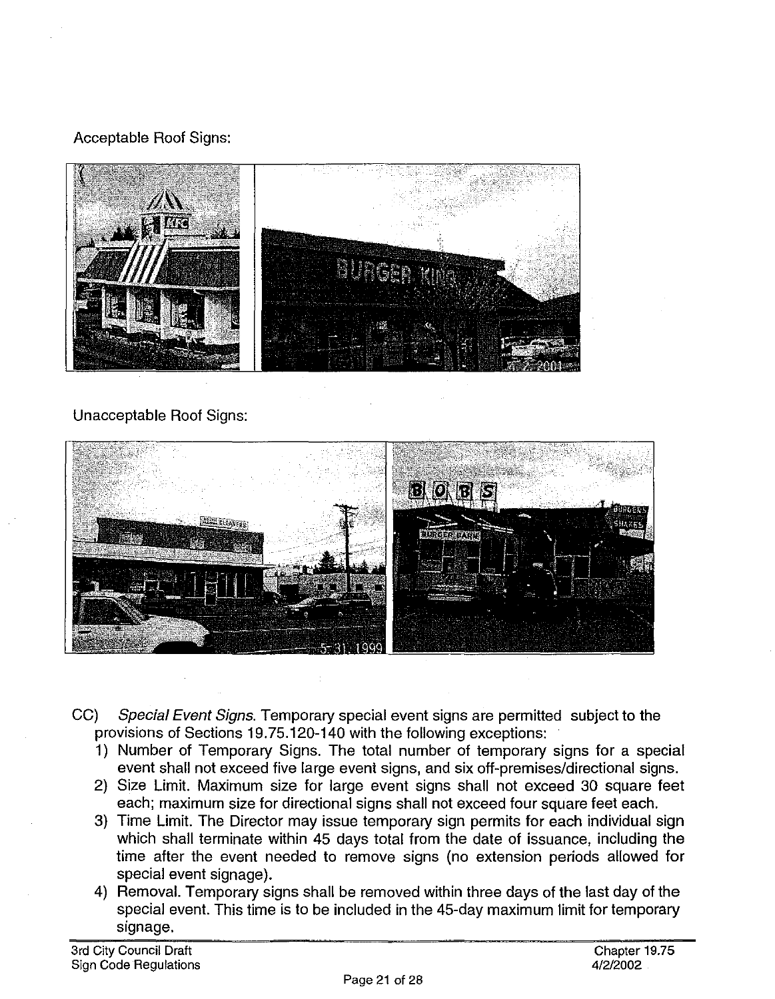#### Acceptable Roof Signs:



#### Unacceptable Roof Signs:



- CC) Special Event Signs. Temporary special event signs are permitted subject to the provisions of Sections 19.75.120-140 with the following exceptions:
	- 1) Number of Temporary Signs. The total number of temporary signs for a special event shall not exceed five large event signs, and six off-premises/directional signs.
	- 2) Size Limit. Maximum size for large event signs shall not exceed 30 square feet each; maximum size for directional signs shall not exceed four square feet each.
	- 3) Time Limit. The Director may issue temporary sign permits for each individual sign which shall terminate within 45 days total from the date of issuance, including the time after the event needed to remove signs (no extension periods allowed for special event signage).
	- 4) Removal. Temporary signs shall be removed within three days of the last day of the special event. This time is to be included in the 45-day maximum limit for temporary signage.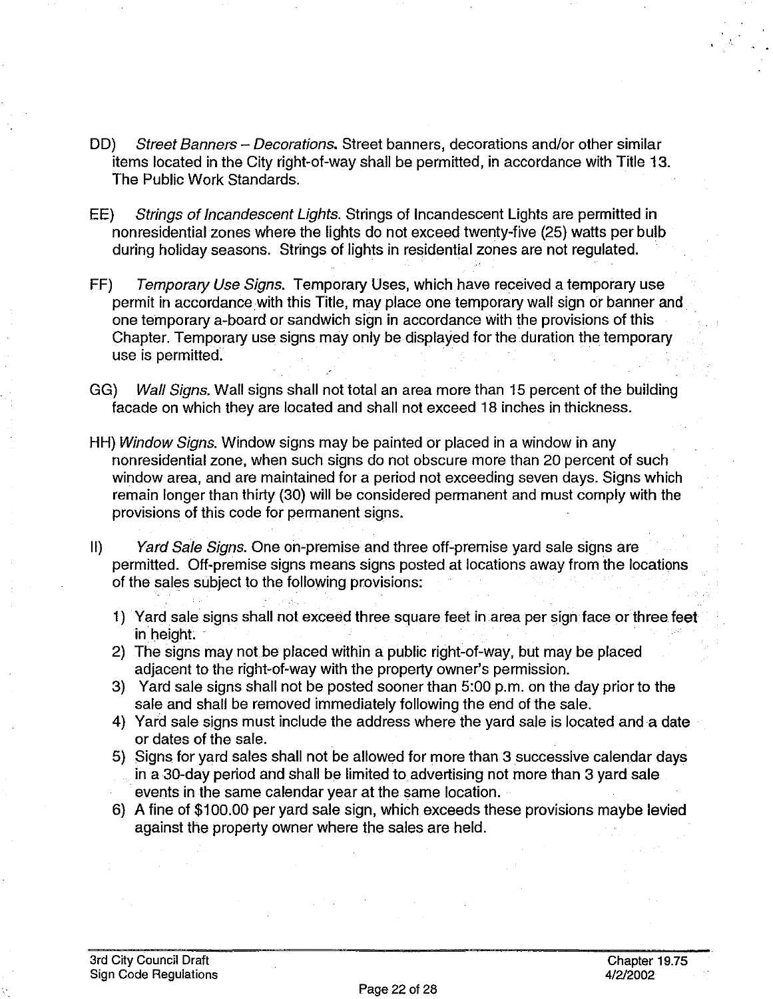- DD) Street Banners Decorations. Street banners, decorations and/or other similar items located in the City right-of-way shall be permitted, in accordance with Title 13. The Public Work Standards.
- EE) Strings of Incandescent Lights. Strings of Incandescent Lights are permitted in nonresidential zones where the lights do not exceed twenty-five (25) watts per bulb during holiday seasons. Strings of lights in residential zones are not regulated.
- FF) Temporary Use Signs. Temporary Uses, which have received a temporary use permit in accordance.with this Title, may place one temporary wall sign or banner and one temporary a-board or sandwich sign in accordance with the provisions of this Chapter. Temporary use signs may only be displayed for the duration the temporary use is permitted.
- GG) Wall Signs. Wall signs shall not total an area more than 15 percent of the building facade on which they are located and shall not exceed 18 inches in thickness.
- HH) Window Signs. Window signs may be painted or placed in a window in any nonresidential zone, when such signs do not obscure more than 20 percent of such window area, and are maintained for a period not exceeding seven days. Signs which remain longer than thirty (30) will be considered permanent and must comply with the provisions of this code for permanent signs.
- 11) Yard Sale Signs. One on-premise and three off-premise yard sale signs are permitted. Off-premise signs means signs posted at locations away from the locations of the sales subject to the following provisions:
	- 1) Yard sale signs shall not exceed three square feet in area per sign face or three feet in height.
	- 2) The signs may not be placed within a public right-of-way, but may be placed adjacent to the right-of-way with the property owner's permission.
	- 3) Yard sale signs shall not be posted sooner than 5:00 p.m. on the day prior to the sale and shall be removed immediately following the end of the sale.
	- 4) Yard sale signs must include the address where the yard sale is located anda date or dates of the sale.
	- 5) Signs for yard sales shall not be allowed for more than 3 successive calendar days in a 30-day period and shall be limited to advertising not more than 3 yard sale events in the same calendar year at the same location.
	- 6) A fine of \$100.00 per yard sale sign, which exceeds these provisions maybe levied against the property owner where the sales are held.

..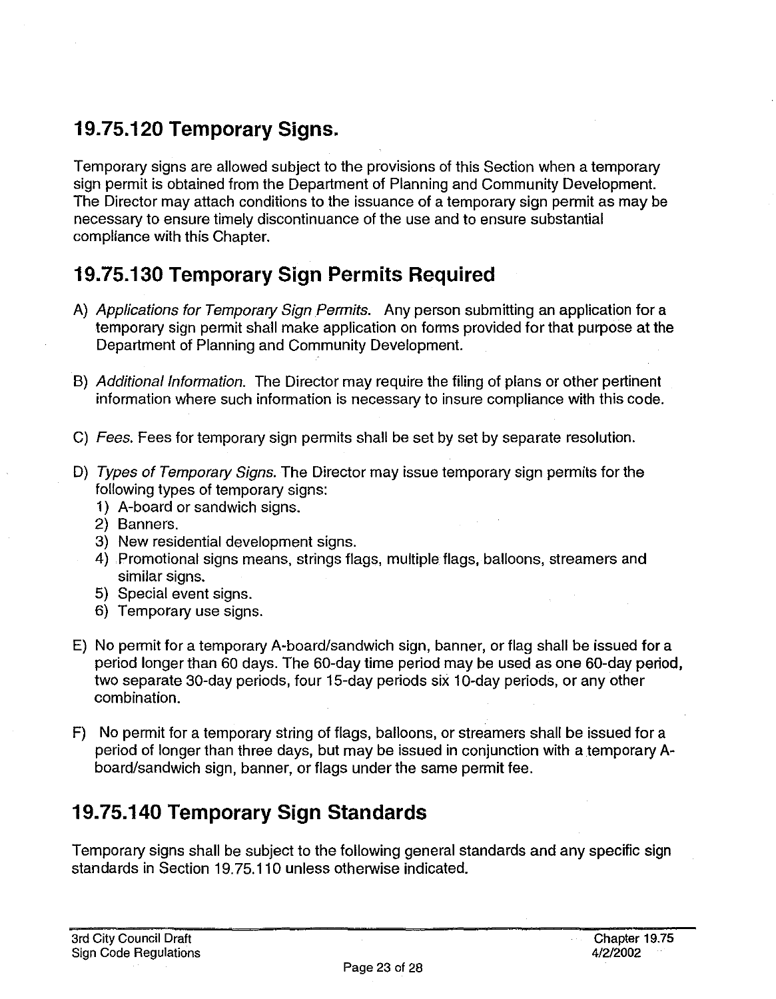### **19.75.120 Temporary Signs.**

Temporary signs are allowed subject to the provisions of this Section when a temporary sign permit is obtained from the Department of Planning and Community Development. The Director may attach conditions to the issuance of a temporary sign permit as may be necessary to ensure timely discontinuance of the use and to ensure substantial compliance with this Chapter.

### **19.75.130 Temporary Sign Permits Required**

- A) Applications for Temporary Sign Permits. Any person submitting an application for a temporary sign permit shall make application on forms provided for that purpose at the Department of Planning and Community Development.
- 8) Additional Information. The Director may require the filing of plans or other pertinent information where such information is necessary to insure compliance with this code.
- C) Fees. Fees for temporary sign permits shall be set by set by separate resolution.
- D) Types of Temporary Signs. The Director may issue temporary sign permits for the following types of temporary signs:
	- 1) A-board or sandwich signs.
	- 2) Banners.
	- 3) New residential development signs.
	- 4) Promotional signs means, strings flags, multiple flags, balloons, streamers and similar signs.
	- 5) Special event signs.
	- 6) Temporary use signs.
- E) No permit for a temporary A-board/sandwich sign, banner, or flag shall be issued for a period longer than 60 days. The 60-day time period may be used as one 60-day period, two separate 30-day periods, four 15-day periods six 10-day periods, or any other combination.
- F) No permit for a temporary string of flags, balloons, or streamers shall be issued for a period of longer than three days, but may be issued in conjunction with a temporary Aboard/sandwich sign, banner, or flags under the same permit fee.

# **19.75.140 Temporary Sign Standards**

Temporary signs shall be subject to the following general standards and any specific sign standards in Section 19.75.110 unless otherwise indicated.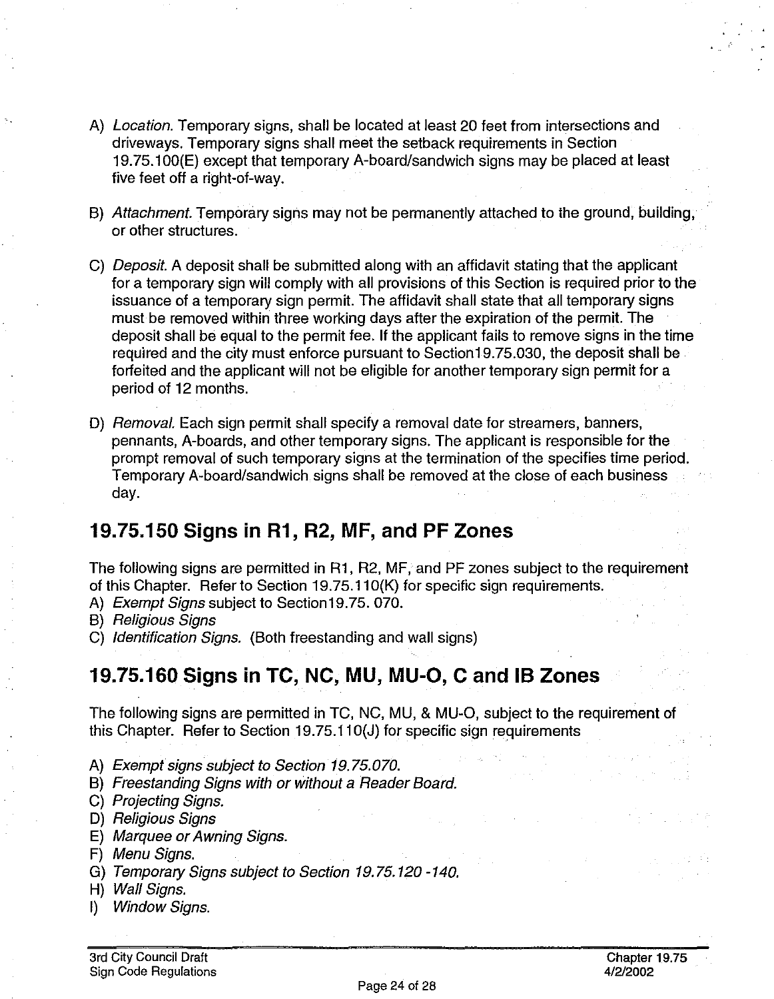- A) Location. Temporary signs, shall be located at least 20 feet from intersections and driveways. Temporary signs shall meet the setback requirements in Section 19. 75.1 OO(E) except that temporary A-board/sandwich signs may be placed at least five feet off a right-of-way.
- B) Attachment. Temporary signs may not be permanently attached to the ground, building, or other structures.
- C) *Deposit.* A deposit shall be submitted along with an affidavit stating that the applicant for a temporary sign will comply with all provisions of this Section is required prior to the issuance of a temporary sign permit. The affidavit shall state that all temporary signs must be removed within three working days after the expiration of the permit. The deposit shall be equal to the permit fee. If the applicant fails to remove signs in the time required and the city must enforce pursuant to Section19.75.030, the deposit shall be forfeited and the applicant will not be eligible for another temporary sign permit for a period of 12 months.
- D) Removal. Each sign permit shall specify a removal date for streamers, banners, pennants, A-boards, and other temporary signs. The applicant is responsible for the prompt removal of such temporary signs at the termination of the specifies time period. Temporary A-board/sandwich signs shall be removed at the close of each business day.

#### **19.75.150 Signs in R1, R2, MF, and PF Zones**

The following signs are permitted in R1, R2, MF, and PF zones subject to the requirement of this Chapter. Refer to Section 19.75.11 O(K) for specific sign requirements.

- A) Exempt Signs subject to Section19.75. 070.
- B) Religious Signs
- C) Identification Signs. (Both freestanding and wall signs)

### **19.75.160 Signs in TC, NC, MU, MU-0, C and IB Zones**

The following signs are permitted in TC, NC, MU, & MU-0, subject to the requirement of this Chapter. Refer to Section 19.75.110(J) for specific sign requirements

- A) Exempt signs subject to Section 19.75.070.
- B) Freestanding Signs with or without a Reader Board.
- C) Projecting Signs.
- D) Religious Signs
- E) Marquee or Awning Signs.
- F) Menu Signs.
- G) Temporary Signs subject to Section 19.75.120-140.
- H) Wall Signs.
- I) Window Signs.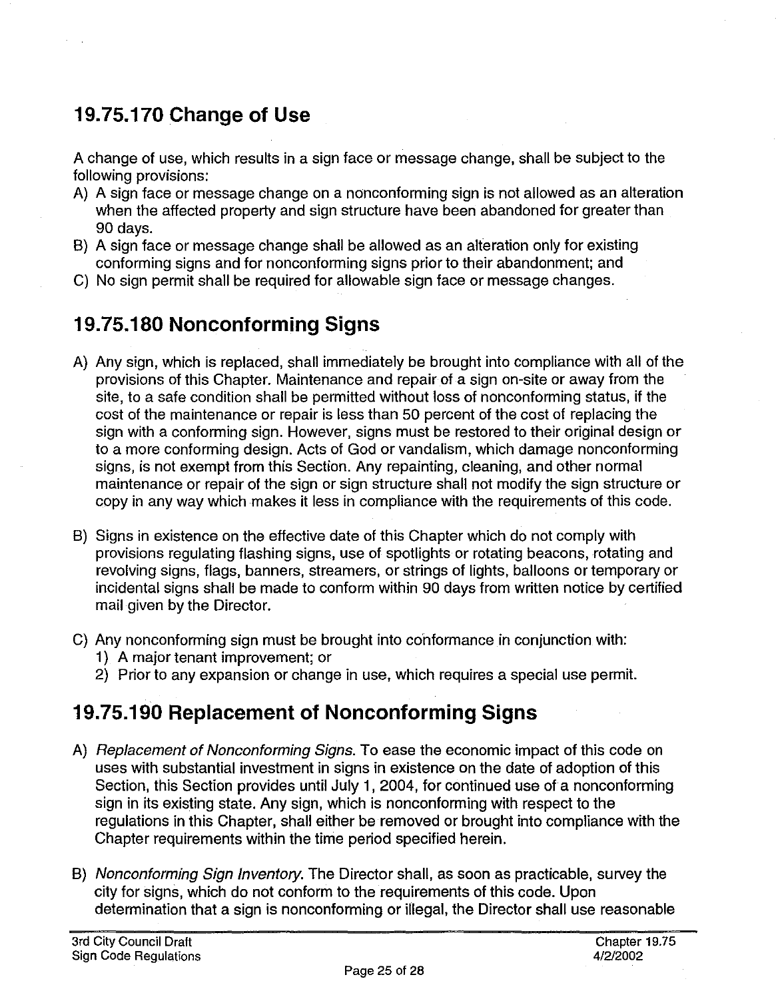# **19. 75.170 Change of Use**

A change of use, which results in a sign face or message change, shall be subject to the following provisions:

- A) A sign face or message change on a nonconforming sign is not allowed as an alteration when the affected property and sign structure have been abandoned for greater than 90 days.
- B) A sign face or message change shall be allowed as an alteration only for existing conforming signs and for nonconforming signs prior to their abandonment; and
- C) No sign permit shall be required for allowable sign face or message changes.

# **19. 75.180 Nonconforming Signs**

- A) Any sign, which is replaced, shall immediately be brought into compliance with all of the provisions of this Chapter. Maintenance and repair of a sign on-site or away from the site, to a safe condition shall be permitted without loss of nonconforming status, if the cost of the maintenance or repair is less than 50 percent of the cost of replacing the sign with a conforming sign. However, signs must be restored to their original design or to a more conforming design. Acts of God or vandalism, which damage nonconforming signs, is not exempt from this Section. Any repainting, cleaning, and other normal maintenance or repair of the sign or sign structure shall not modify the sign structure or copy in any way which makes it less in compliance with the requirements of this code.
- B) Signs in existence on the effective date of this Chapter which do not comply with provisions regulating flashing signs, use of spotlights or rotating beacons, rotating and revolving signs, flags, banners, streamers, or strings of lights, balloons or temporary or incidental signs shall be made to conform within 90 days from written notice by certified mail given by the Director.
- C) Any nonconforming sign must be brought into conformance in conjunction with:
	- 1) A major tenant improvement; or
	- 2) Prior to any expansion or change in use, which requires a special use permit.

# **19.75.190 Replacement of Nonconforming Signs**

- A) Replacement of Nonconforming Signs. To ease the economic impact of this code on uses with substantial investment in signs in existence on the date of adoption of this Section, this Section provides until July 1, 2004, for continued use of a nonconforming sign in its existing state. Any sign, which is nonconforming with respect to the regulations in this Chapter, shall either be removed or brought into compliance with the Chapter requirements within the time period specified herein.
- B) Nonconforming Sign Inventory. The Director shall, as soon as practicable, survey the city for signs, which do not conform to the requirements of this code. Upon determination that a sign is nonconforming or illegal, the Director shall use reasonable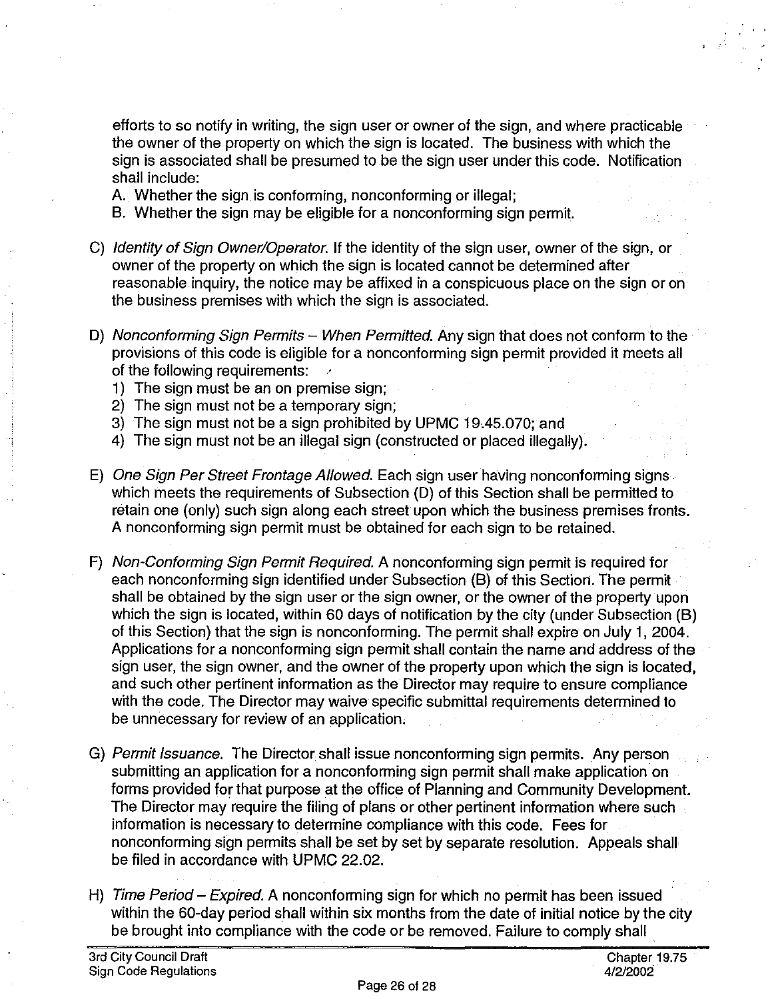efforts to so notify in writing, the sign user or owner of the sign, and where practicable the owner of the property on which the sign is located. The business with which the sign is associated shall be presumed to be the sign user under this code. Notification shall include:

- A. Whether the sign is conforming, nonconforming or illegal;
- B. Whether the sign may be eligible for a nonconforming sign permit.
- C) Identity of Sign Owner/Operator. If the identity of the sign user, owner of the sign, or owner of the property on which the sign is located cannot be determined after reasonable inquiry, the notice may be affixed in a conspicuous place on the sign or on the business premises with which the sign is associated.
- D) Nonconforming Sign Permits When Permitted. Any sign that does not conform to the provisions of this code is eligible for a nonconforming sign permit provided it meets all of the following requirements:
	- 1) The sign must be an on premise sign;
	- 2) The sign must not be a temporary sign;
	- 3) The sign must not be a sign prohibited by UPMC 19.45.070; and
	- 4) The sign must not be an illegal sign (constructed or placed illegally).
- E) One Sign Per Street Frontage Allowed. Each sign user having nonconforming signs which meets the requirements of Subsection (D) of this Section shall be permitted to retain one (only) such sign along each street upon which the business premises fronts. A nonconforming sign permit must be obtained for each sign to be retained.
- F) Non-Conforming Sign Permit Required. A nonconforming sign permit is required for each nonconforming sign identified under Subsection (B) of this Section. The permit shall be obtained by the sign user or the sign owner, or the owner of the property upon which the sign is located, within 60 days of notification by the city (under Subsection (B) of this Section) that the sign is nonconforming. The permit shall expire on July 1, 2004. Applications for a nonconforming sign permit shall contain the name and address of the sign user, the sign owner, and the owner of the property upon which the sign is located, and such other pertinent information as the Director may require to ensure compliance with the code. The Director may waive specific submittal requirements determined to be unnecessary for review of an application.
- G) Permit Issuance. The Director shall issue nonconforming sign permits. Any person submitting an application for a nonconforming sign permit shall make application on forms provided for that purpose at the office of Planning and Community Development. The Director may require the filing of plans or other pertinent information where such information is necessary to determine compliance with this code. Fees for nonconforming sign permits shall be set by set by separate resolution. Appeals shall be filed in accordance with UPMC 22.02.
- H) Time Period Expired. A nonconforming sign for which no permit has been issued within the 60-day period shall within six months from the date of initial notice by the city be brought into compliance with the code or be removed. Failure to comply shall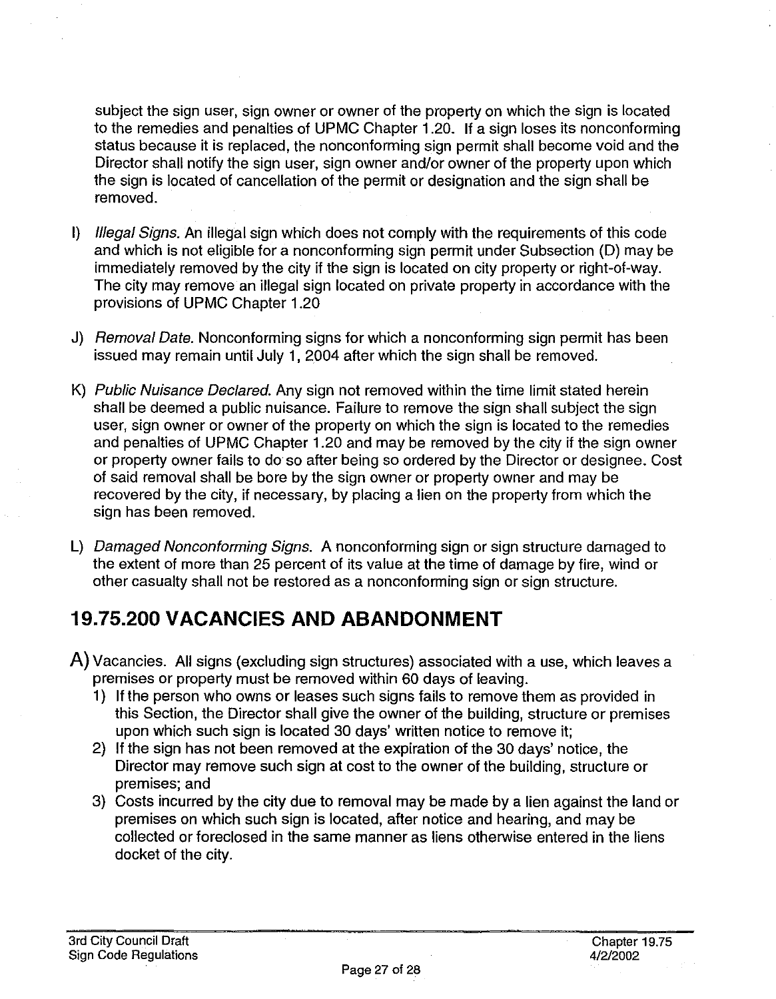subject the sign user, sign owner or owner of the property on which the sign is located to the remedies and penalties of UPMC Chapter 1.20. If a sign loses its nonconforming status because it is replaced, the nonconforming sign permit shall become void and the Director shall notify the sign user, sign owner and/or owner of the property upon which the sign is located of cancellation of the permit or designation and the sign shall be removed.

- I) Illegal Signs. An illegal sign which does not comply with the requirements of this code and which is not eligible for a nonconforming sign permit under Subsection (D) may be immediately removed by the city if the sign is located on city property or right-of-way. The city may remove an illegal sign located on private property in accordance with the provisions of UPMC Chapter 1.20
- J) Removal Date. Nonconforming signs for which a nonconforming sign permit has been issued may remain until July 1, 2004 after which the sign shall be removed.
- K) Public Nuisance Declared. Any sign not removed within the time limit stated herein shall be deemed a public nuisance. Failure to remove the sign shall subject the sign user, sign owner or owner of the property on which the sign is located to the remedies and penalties of UPMC Chapter 1.20 and may be removed by the city if the sign owner or property owner fails to do so after being so ordered by the Director or designee. Cost of said removal shall be bore by the sign owner or property owner and may be recovered by the city, if necessary, by placing a lien on the property from which the sign has been removed.
- L) Damaged Nonconforming Signs. A nonconforming sign or sign structure damaged to the extent of more than 25 percent of its value at the time of damage by fire, wind or other casualty shall not be restored as a nonconforming sign or sign structure.

# **19.75.200 VACANCIES AND ABANDONMENT**

- A) Vacancies. All signs (excluding sign structures) associated with a use, which leaves a premises or property must be removed within 60 days of leaving.
	- 1) If the person who owns or leases such signs fails to remove them as provided in this Section, the Director shall give the owner of the building, structure or premises upon which such sign is located 30 days' written notice to remove it;
	- 2) If the sign has not been removed at the expiration of the 30 days' notice, the Director may remove such sign at cost to the owner of the building, structure or premises; and
	- 3) Costs incurred by the city due to removal may be made by a lien against the land or premises on which such sign is located, after notice and hearing, and may be collected or foreclosed in the same manner as liens otherwise entered in the liens docket of the city.